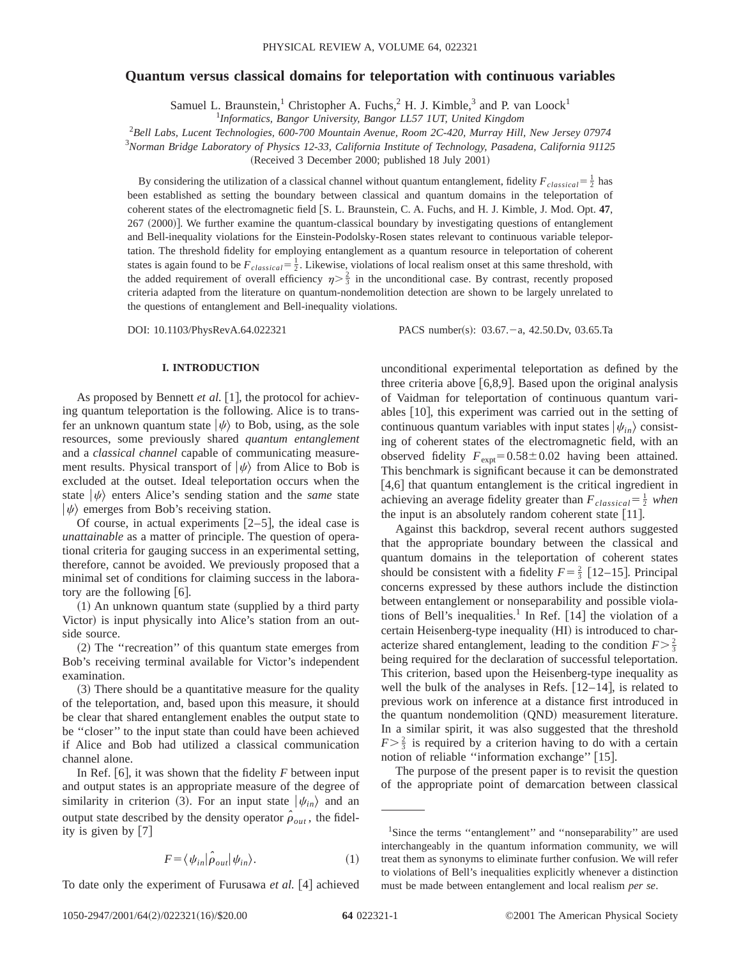# **Quantum versus classical domains for teleportation with continuous variables**

Samuel L. Braunstein,<sup>1</sup> Christopher A. Fuchs,<sup>2</sup> H. J. Kimble,<sup>3</sup> and P. van Loock<sup>1</sup>

1 *Informatics, Bangor University, Bangor LL57 1UT, United Kingdom*

2 *Bell Labs, Lucent Technologies, 600-700 Mountain Avenue, Room 2C-420, Murray Hill, New Jersey 07974*

3 *Norman Bridge Laboratory of Physics 12-33, California Institute of Technology, Pasadena, California 91125*

(Received 3 December 2000; published 18 July 2001)

By considering the utilization of a classical channel without quantum entanglement, fidelity  $F_{classical} = \frac{1}{2}$  has been established as setting the boundary between classical and quantum domains in the teleportation of coherent states of the electromagnetic field [S. L. Braunstein, C. A. Fuchs, and H. J. Kimble, J. Mod. Opt. 47, 267 (2000). We further examine the quantum-classical boundary by investigating questions of entanglement and Bell-inequality violations for the Einstein-Podolsky-Rosen states relevant to continuous variable teleportation. The threshold fidelity for employing entanglement as a quantum resource in teleportation of coherent states is again found to be  $F_{classical} = \frac{1}{2}$ . Likewise, violations of local realism onset at this same threshold, with the added requirement of overall efficiency  $\eta > \frac{2}{3}$  in the unconditional case. By contrast, recently proposed criteria adapted from the literature on quantum-nondemolition detection are shown to be largely unrelated to the questions of entanglement and Bell-inequality violations.

DOI: 10.1103/PhysRevA.64.022321 PACS number(s): 03.67. - a, 42.50.Dv, 03.65.Ta

## **I. INTRODUCTION**

As proposed by Bennett *et al.* [1], the protocol for achieving quantum teleportation is the following. Alice is to transfer an unknown quantum state  $|\psi\rangle$  to Bob, using, as the sole resources, some previously shared *quantum entanglement* and a *classical channel* capable of communicating measurement results. Physical transport of  $|\psi\rangle$  from Alice to Bob is excluded at the outset. Ideal teleportation occurs when the state  $|\psi\rangle$  enters Alice's sending station and the *same* state  $|\psi\rangle$  emerges from Bob's receiving station.

Of course, in actual experiments  $[2-5]$ , the ideal case is *unattainable* as a matter of principle. The question of operational criteria for gauging success in an experimental setting, therefore, cannot be avoided. We previously proposed that a minimal set of conditions for claiming success in the laboratory are the following  $[6]$ .

 $(1)$  An unknown quantum state (supplied by a third party Victor) is input physically into Alice's station from an outside source.

~2! The ''recreation'' of this quantum state emerges from Bob's receiving terminal available for Victor's independent examination.

 $(3)$  There should be a quantitative measure for the quality of the teleportation, and, based upon this measure, it should be clear that shared entanglement enables the output state to be ''closer'' to the input state than could have been achieved if Alice and Bob had utilized a classical communication channel alone.

In Ref.  $[6]$ , it was shown that the fidelity *F* between input and output states is an appropriate measure of the degree of similarity in criterion (3). For an input state  $|\psi_{in}\rangle$  and an output state described by the density operator  $\hat{\rho}_{out}$ , the fidelity is given by  $[7]$ 

$$
F = \langle \psi_{in} | \hat{\rho}_{out} | \psi_{in} \rangle. \tag{1}
$$

To date only the experiment of Furusawa et al. [4] achieved

unconditional experimental teleportation as defined by the three criteria above  $[6,8,9]$ . Based upon the original analysis of Vaidman for teleportation of continuous quantum variables  $[10]$ , this experiment was carried out in the setting of continuous quantum variables with input states  $|\psi_{in}\rangle$  consisting of coherent states of the electromagnetic field, with an observed fidelity  $F_{\text{expt}}=0.58\pm0.02$  having been attained. This benchmark is significant because it can be demonstrated [4,6] that quantum entanglement is the critical ingredient in achieving an average fidelity greater than  $F_{classical} = \frac{1}{2}$  when the input is an absolutely random coherent state  $[11]$ .

Against this backdrop, several recent authors suggested that the appropriate boundary between the classical and quantum domains in the teleportation of coherent states should be consistent with a fidelity  $F = \frac{2}{3}$  [12–15]. Principal concerns expressed by these authors include the distinction between entanglement or nonseparability and possible violations of Bell's inequalities.<sup>1</sup> In Ref.  $\lceil 14 \rceil$  the violation of a certain Heisenberg-type inequality (HI) is introduced to characterize shared entanglement, leading to the condition  $F > \frac{2}{3}$ being required for the declaration of successful teleportation. This criterion, based upon the Heisenberg-type inequality as well the bulk of the analyses in Refs.  $[12-14]$ , is related to previous work on inference at a distance first introduced in the quantum nondemolition (QND) measurement literature. In a similar spirit, it was also suggested that the threshold  $F > \frac{2}{3}$  is required by a criterion having to do with a certain notion of reliable "information exchange"  $[15]$ .

The purpose of the present paper is to revisit the question of the appropriate point of demarcation between classical

<sup>&</sup>lt;sup>1</sup>Since the terms "entanglement" and "nonseparability" are used interchangeably in the quantum information community, we will treat them as synonyms to eliminate further confusion. We will refer to violations of Bell's inequalities explicitly whenever a distinction must be made between entanglement and local realism *per se*.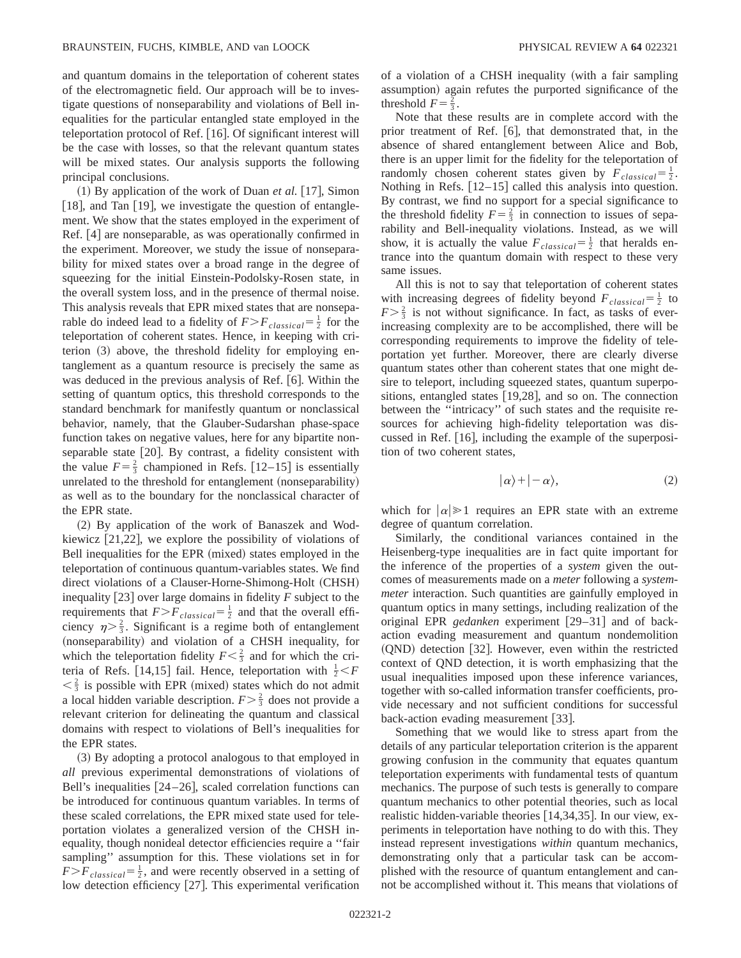and quantum domains in the teleportation of coherent states of the electromagnetic field. Our approach will be to investigate questions of nonseparability and violations of Bell inequalities for the particular entangled state employed in the teleportation protocol of Ref.  $[16]$ . Of significant interest will be the case with losses, so that the relevant quantum states will be mixed states. Our analysis supports the following principal conclusions.

 $(1)$  By application of the work of Duan *et al.* [17], Simon [18], and Tan  $[19]$ , we investigate the question of entanglement. We show that the states employed in the experiment of Ref.  $[4]$  are nonseparable, as was operationally confirmed in the experiment. Moreover, we study the issue of nonseparability for mixed states over a broad range in the degree of squeezing for the initial Einstein-Podolsky-Rosen state, in the overall system loss, and in the presence of thermal noise. This analysis reveals that EPR mixed states that are nonseparable do indeed lead to a fidelity of  $F > F_{classical} = \frac{1}{2}$  for the teleportation of coherent states. Hence, in keeping with criterion  $(3)$  above, the threshold fidelity for employing entanglement as a quantum resource is precisely the same as was deduced in the previous analysis of Ref.  $[6]$ . Within the setting of quantum optics, this threshold corresponds to the standard benchmark for manifestly quantum or nonclassical behavior, namely, that the Glauber-Sudarshan phase-space function takes on negative values, here for any bipartite nonseparable state  $[20]$ . By contrast, a fidelity consistent with the value  $F = \frac{2}{3}$  championed in Refs. [12–15] is essentially unrelated to the threshold for entanglement  $(nonseparability)$ as well as to the boundary for the nonclassical character of the EPR state.

(2) By application of the work of Banaszek and Wodkiewicz  $[21,22]$ , we explore the possibility of violations of Bell inequalities for the EPR (mixed) states employed in the teleportation of continuous quantum-variables states. We find direct violations of a Clauser-Horne-Shimong-Holt (CHSH) inequality  $[23]$  over large domains in fidelity *F* subject to the requirements that  $F > F_{classical} = \frac{1}{2}$  and that the overall efficiency  $\eta > \frac{2}{3}$ . Significant is a regime both of entanglement (nonseparability) and violation of a CHSH inequality, for which the teleportation fidelity  $F < \frac{2}{3}$  and for which the criteria of Refs. [14,15] fail. Hence, teleportation with  $\frac{1}{2} < F$  $\langle \xi \rangle \leq \frac{2}{3}$  is possible with EPR (mixed) states which do not admit a local hidden variable description.  $F \geq \frac{2}{3}$  does not provide a relevant criterion for delineating the quantum and classical domains with respect to violations of Bell's inequalities for the EPR states.

~3! By adopting a protocol analogous to that employed in *all* previous experimental demonstrations of violations of Bell's inequalities  $[24–26]$ , scaled correlation functions can be introduced for continuous quantum variables. In terms of these scaled correlations, the EPR mixed state used for teleportation violates a generalized version of the CHSH inequality, though nonideal detector efficiencies require a ''fair sampling'' assumption for this. These violations set in for  $F>F_{classical} = \frac{1}{2}$ , and were recently observed in a setting of low detection efficiency [27]. This experimental verification of a violation of a CHSH inequality (with a fair sampling assumption) again refutes the purported significance of the threshold  $F = \frac{2}{3}$ .

Note that these results are in complete accord with the prior treatment of Ref.  $[6]$ , that demonstrated that, in the absence of shared entanglement between Alice and Bob, there is an upper limit for the fidelity for the teleportation of randomly chosen coherent states given by  $F_{classical} = \frac{1}{2}$ . Nothing in Refs.  $[12–15]$  called this analysis into question. By contrast, we find no support for a special significance to the threshold fidelity  $F = \frac{2}{3}$  in connection to issues of separability and Bell-inequality violations. Instead, as we will show, it is actually the value  $F_{classical} = \frac{1}{2}$  that heralds entrance into the quantum domain with respect to these very same issues.

All this is not to say that teleportation of coherent states with increasing degrees of fidelity beyond  $F_{classical} = \frac{1}{2}$  to  $F > \frac{2}{3}$  is not without significance. In fact, as tasks of everincreasing complexity are to be accomplished, there will be corresponding requirements to improve the fidelity of teleportation yet further. Moreover, there are clearly diverse quantum states other than coherent states that one might desire to teleport, including squeezed states, quantum superpositions, entangled states  $[19,28]$ , and so on. The connection between the ''intricacy'' of such states and the requisite resources for achieving high-fidelity teleportation was discussed in Ref.  $[16]$ , including the example of the superposition of two coherent states,

$$
|\alpha\rangle + |-\alpha\rangle, \tag{2}
$$

which for  $|\alpha| \geq 1$  requires an EPR state with an extreme degree of quantum correlation.

Similarly, the conditional variances contained in the Heisenberg-type inequalities are in fact quite important for the inference of the properties of a *system* given the outcomes of measurements made on a *meter* following a *systemmeter* interaction. Such quantities are gainfully employed in quantum optics in many settings, including realization of the original EPR *gedanken* experiment [29–31] and of backaction evading measurement and quantum nondemolition  $(QND)$  detection [32]. However, even within the restricted context of QND detection, it is worth emphasizing that the usual inequalities imposed upon these inference variances, together with so-called information transfer coefficients, provide necessary and not sufficient conditions for successful back-action evading measurement  $[33]$ .

Something that we would like to stress apart from the details of any particular teleportation criterion is the apparent growing confusion in the community that equates quantum teleportation experiments with fundamental tests of quantum mechanics. The purpose of such tests is generally to compare quantum mechanics to other potential theories, such as local realistic hidden-variable theories  $[14,34,35]$ . In our view, experiments in teleportation have nothing to do with this. They instead represent investigations *within* quantum mechanics, demonstrating only that a particular task can be accomplished with the resource of quantum entanglement and cannot be accomplished without it. This means that violations of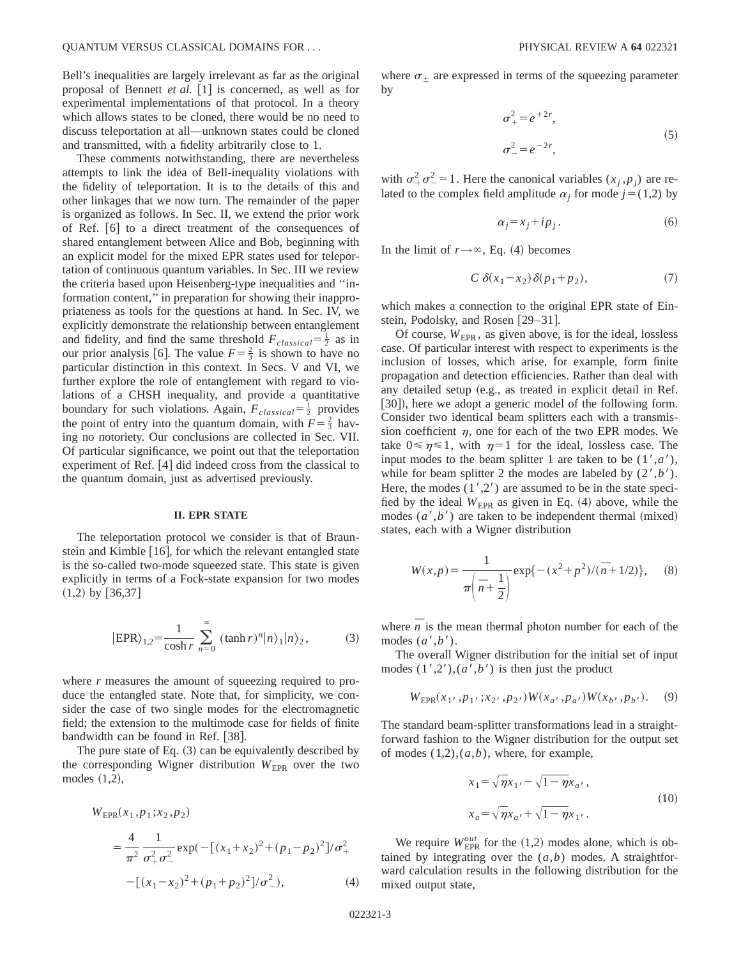Bell's inequalities are largely irrelevant as far as the original proposal of Bennett *et al.* [1] is concerned, as well as for experimental implementations of that protocol. In a theory which allows states to be cloned, there would be no need to discuss teleportation at all—unknown states could be cloned and transmitted, with a fidelity arbitrarily close to 1.

These comments notwithstanding, there are nevertheless attempts to link the idea of Bell-inequality violations with the fidelity of teleportation. It is to the details of this and other linkages that we now turn. The remainder of the paper is organized as follows. In Sec. II, we extend the prior work of Ref.  $\lceil 6 \rceil$  to a direct treatment of the consequences of shared entanglement between Alice and Bob, beginning with an explicit model for the mixed EPR states used for teleportation of continuous quantum variables. In Sec. III we review the criteria based upon Heisenberg-type inequalities and ''information content,'' in preparation for showing their inappropriateness as tools for the questions at hand. In Sec. IV, we explicitly demonstrate the relationship between entanglement and fidelity, and find the same threshold  $F_{classical} = \frac{1}{2}$  as in our prior analysis [6]. The value  $F = \frac{2}{3}$  is shown to have no particular distinction in this context. In Secs. V and VI, we further explore the role of entanglement with regard to violations of a CHSH inequality, and provide a quantitative boundary for such violations. Again,  $F_{classical} = \frac{1}{2}$  provides the point of entry into the quantum domain, with  $F = \frac{2}{3}$  having no notoriety. Our conclusions are collected in Sec. VII. Of particular significance, we point out that the teleportation experiment of Ref.  $[4]$  did indeed cross from the classical to the quantum domain, just as advertised previously.

## **II. EPR STATE**

The teleportation protocol we consider is that of Braunstein and Kimble  $[16]$ , for which the relevant entangled state is the so-called two-mode squeezed state. This state is given explicitly in terms of a Fock-state expansion for two modes  $(1,2)$  by [36,37]

$$
|\text{EPR}\rangle_{1,2} = \frac{1}{\cosh r} \sum_{n=0}^{\infty} (\tanh r)^n |n\rangle_1 |n\rangle_2, \tag{3}
$$

where *r* measures the amount of squeezing required to produce the entangled state. Note that, for simplicity, we consider the case of two single modes for the electromagnetic field; the extension to the multimode case for fields of finite bandwidth can be found in Ref.  $[38]$ .

The pure state of Eq.  $(3)$  can be equivalently described by the corresponding Wigner distribution  $W_{\text{EPR}}$  over the two modes  $(1,2)$ ,

$$
W_{\text{EPR}}(x_1, p_1; x_2, p_2)
$$
  
=  $\frac{4}{\pi^2} \frac{1}{\sigma_+^2 \sigma_-^2} \exp(-[(x_1 + x_2)^2 + (p_1 - p_2)^2]/\sigma_+^2 - [(x_1 - x_2)^2 + (p_1 + p_2)^2]/\sigma_-^2),$  (4)

where  $\sigma_{\pm}$  are expressed in terms of the squeezing parameter by

$$
\sigma_{+}^{2} = e^{+2r},
$$
  
\n
$$
\sigma_{-}^{2} = e^{-2r},
$$
\n(5)

with  $\sigma^2 + \sigma^2 = 1$ . Here the canonical variables  $(x_j, p_j)$  are related to the complex field amplitude  $\alpha_i$  for mode  $j=(1,2)$  by

$$
\alpha_j = x_j + i p_j. \tag{6}
$$

In the limit of  $r \rightarrow \infty$ , Eq. (4) becomes

$$
C \delta(x_1 - x_2) \delta(p_1 + p_2), \tag{7}
$$

which makes a connection to the original EPR state of Einstein, Podolsky, and Rosen  $[29-31]$ .

Of course,  $W_{\text{FPR}}$ , as given above, is for the ideal, lossless case. Of particular interest with respect to experiments is the inclusion of losses, which arise, for example, form finite propagation and detection efficiencies. Rather than deal with any detailed setup (e.g., as treated in explicit detail in Ref. [30]), here we adopt a generic model of the following form. Consider two identical beam splitters each with a transmission coefficient  $\eta$ , one for each of the two EPR modes. We take  $0 \le \eta \le 1$ , with  $\eta = 1$  for the ideal, lossless case. The input modes to the beam splitter 1 are taken to be  $(1', a')$ , while for beam splitter 2 the modes are labeled by  $(2', b')$ . Here, the modes  $(1',2')$  are assumed to be in the state specified by the ideal  $W_{\text{EPR}}$  as given in Eq. (4) above, while the modes  $(a', b')$  are taken to be independent thermal (mixed) states, each with a Wigner distribution

$$
W(x,p) = \frac{1}{\pi \left(\bar{n} + \frac{1}{2}\right)} \exp\{-\left(x^2 + p^2\right) / (\bar{n} + 1/2)\},\tag{8}
$$

where  $\overline{n}$  is the mean thermal photon number for each of the modes  $(a', b')$ .

The overall Wigner distribution for the initial set of input modes  $(1',2'),(a',b')$  is then just the product

$$
W_{\text{EPR}}(x_1, p_1, x_2, p_2, W(x_a, p_a))W(x_b, p_b).
$$
 (9)

The standard beam-splitter transformations lead in a straightforward fashion to the Wigner distribution for the output set of modes  $(1,2)$ , $(a,b)$ , where, for example,

$$
x_1 = \sqrt{\eta} x_1 \cdot - \sqrt{1 - \eta} x_a \cdot ,
$$
  
\n
$$
x_a = \sqrt{\eta} x_a \cdot + \sqrt{1 - \eta} x_1 \cdot .
$$
\n(10)

We require  $W_{\text{EPR}}^{out}$  for the (1,2) modes alone, which is obtained by integrating over the  $(a,b)$  modes. A straightforward calculation results in the following distribution for the mixed output state,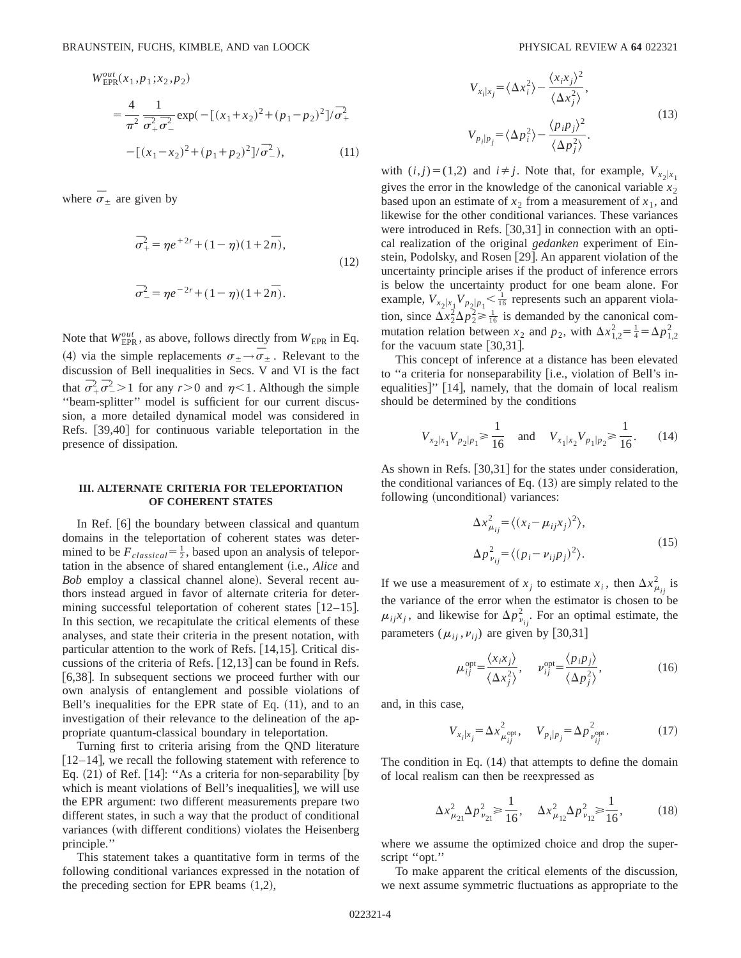$$
W_{\text{EPR}}^{out}(x_1, p_1; x_2, p_2)
$$
  
=  $\frac{4}{\pi^2} \frac{1}{\sigma_+^2 \sigma_-^2} \exp(-[(x_1 + x_2)^2 + (p_1 - p_2)^2]/\sigma_+^2 - [(x_1 - x_2)^2 + (p_1 + p_2)^2]/\sigma_-^2),$  (11)

where  $\bar{\sigma}_{\pm}$  are given by

$$
\overline{\sigma}_{+}^{2} = \eta e^{+2r} + (1 - \eta)(1 + 2\overline{n}),
$$
  
(12)  

$$
\overline{\sigma}_{-}^{2} = \eta e^{-2r} + (1 - \eta)(1 + 2\overline{n}).
$$

Note that  $W_{\text{EPR}}^{out}$ , as above, follows directly from  $W_{\text{EPR}}$  in Eq. (4) via the simple replacements  $\sigma_{\pm} \rightarrow \sigma_{\pm}$ . Relevant to the discussion of Bell inequalities in Secs. V and VI is the fact that  $\overline{\sigma}_+^2 \overline{\sigma}_-^2 > 1$  for any  $r > 0$  and  $\eta < 1$ . Although the simple ''beam-splitter'' model is sufficient for our current discussion, a more detailed dynamical model was considered in Refs. [39,40] for continuous variable teleportation in the presence of dissipation.

## **III. ALTERNATE CRITERIA FOR TELEPORTATION OF COHERENT STATES**

In Ref.  $[6]$  the boundary between classical and quantum domains in the teleportation of coherent states was determined to be  $F_{classical} = \frac{1}{2}$ , based upon an analysis of teleportation in the absence of shared entanglement (i.e., *Alice* and *Bob* employ a classical channel alone). Several recent authors instead argued in favor of alternate criteria for determining successful teleportation of coherent states  $[12-15]$ . In this section, we recapitulate the critical elements of these analyses, and state their criteria in the present notation, with particular attention to the work of Refs.  $[14,15]$ . Critical discussions of the criteria of Refs.  $[12,13]$  can be found in Refs. [6,38]. In subsequent sections we proceed further with our own analysis of entanglement and possible violations of Bell's inequalities for the EPR state of Eq.  $(11)$ , and to an investigation of their relevance to the delineation of the appropriate quantum-classical boundary in teleportation.

Turning first to criteria arising from the QND literature  $[12–14]$ , we recall the following statement with reference to Eq.  $(21)$  of Ref. [14]: "As a criteria for non-separability [by which is meant violations of Bell's inequalities, we will use the EPR argument: two different measurements prepare two different states, in such a way that the product of conditional variances (with different conditions) violates the Heisenberg principle.''

This statement takes a quantitative form in terms of the following conditional variances expressed in the notation of the preceding section for EPR beams  $(1,2)$ ,

$$
V_{x_i|x_j} = \langle \Delta x_i^2 \rangle - \frac{\langle x_i x_j \rangle^2}{\langle \Delta x_j^2 \rangle},
$$
  
\n
$$
V_{p_i|p_j} = \langle \Delta p_i^2 \rangle - \frac{\langle p_i p_j \rangle^2}{\langle \Delta p_j^2 \rangle}.
$$
\n(13)

with  $(i, j) = (1, 2)$  and  $i \neq j$ . Note that, for example,  $V_{x_2|x_1}$ gives the error in the knowledge of the canonical variable  $x<sub>2</sub>$ based upon an estimate of  $x_2$  from a measurement of  $x_1$ , and likewise for the other conditional variances. These variances were introduced in Refs.  $[30,31]$  in connection with an optical realization of the original *gedanken* experiment of Einstein, Podolsky, and Rosen [29]. An apparent violation of the uncertainty principle arises if the product of inference errors is below the uncertainty product for one beam alone. For example,  $V_{x_2|x_1}V_{p_2|p_1} \le \frac{1}{16}$  represents such an apparent violation, since  $\Delta x_2^2 \Delta p_2^2 \ge \frac{1}{16}$  is demanded by the canonical commutation relation between  $x_2$  and  $p_2$ , with  $\Delta x_{1,2}^2 = \frac{1}{4} = \Delta p_{1,2}^2$ for the vacuum state  $[30,31]$ .

This concept of inference at a distance has been elevated to "a criteria for nonseparability [i.e., violation of Bell's inequalities]"  $[14]$ , namely, that the domain of local realism should be determined by the conditions

$$
V_{x_2|x_1}V_{p_2|p_1} \ge \frac{1}{16} \quad \text{and} \quad V_{x_1|x_2}V_{p_1|p_2} \ge \frac{1}{16}.\tag{14}
$$

As shown in Refs.  $\vert 30,31 \vert$  for the states under consideration, the conditional variances of Eq.  $(13)$  are simply related to the following (unconditional) variances:

$$
\Delta x_{\mu_{ij}}^2 = \langle (x_i - \mu_{ij} x_j)^2 \rangle,
$$
  
\n
$$
\Delta p_{\nu_{ij}}^2 = \langle (p_i - \nu_{ij} p_j)^2 \rangle.
$$
\n(15)

If we use a measurement of  $x_j$  to estimate  $x_i$ , then  $\Delta x_{\mu_{ij}}^2$  is the variance of the error when the estimator is chosen to be  $\mu_{ij}$ *x*<sub>*j*</sub>, and likewise for  $\Delta p_{\nu_{ij}}^2$ . For an optimal estimate, the parameters ( $\mu_{ij}$ ,  $\nu_{ij}$ ) are given by [30,31]

$$
\mu_{ij}^{\text{opt}} = \frac{\langle x_i x_j \rangle}{\langle \Delta x_j^2 \rangle}, \quad \nu_{ij}^{\text{opt}} = \frac{\langle p_i p_j \rangle}{\langle \Delta p_j^2 \rangle}, \tag{16}
$$

and, in this case,

$$
V_{x_i|x_j} = \Delta x_{\mu_{ij}^{\text{opt}}}^2, \quad V_{p_i|p_j} = \Delta p_{\nu_{ij}^{\text{opt}}}^2. \tag{17}
$$

The condition in Eq.  $(14)$  that attempts to define the domain of local realism can then be reexpressed as

$$
\Delta x_{\mu_{21}}^2 \Delta p_{\nu_{21}}^2 \ge \frac{1}{16}, \quad \Delta x_{\mu_{12}}^2 \Delta p_{\nu_{12}}^2 \ge \frac{1}{16}, \tag{18}
$$

where we assume the optimized choice and drop the superscript ''opt.''

To make apparent the critical elements of the discussion, we next assume symmetric fluctuations as appropriate to the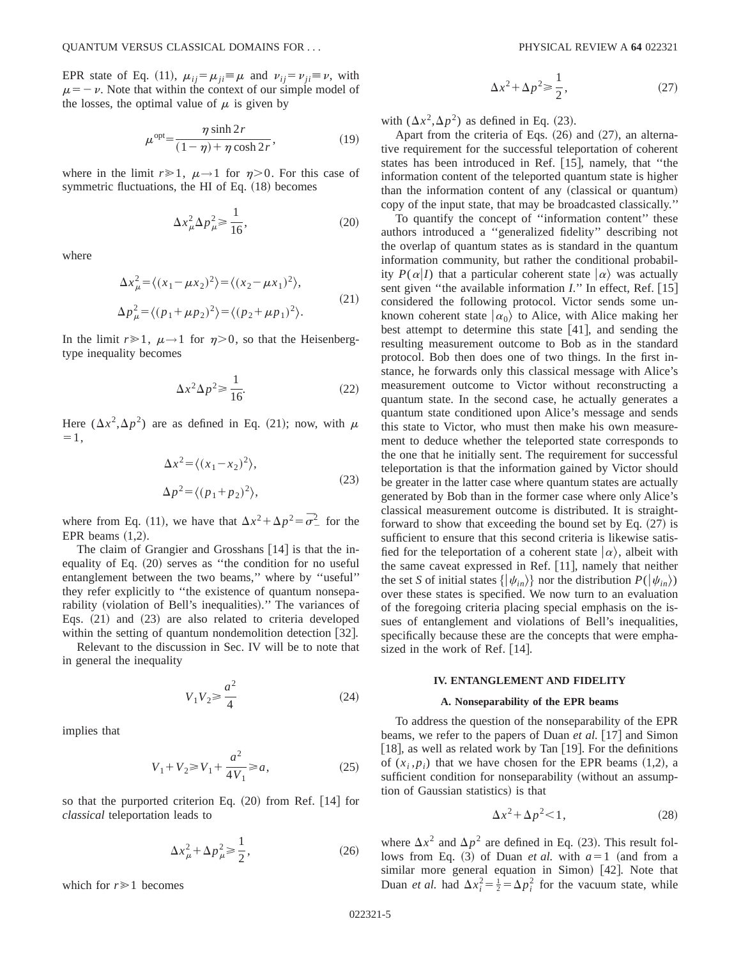EPR state of Eq. (11),  $\mu_{ij} = \mu_{ji} \equiv \mu$  and  $\nu_{ij} = \nu_{ji} \equiv \nu$ , with  $\mu = -\nu$ . Note that within the context of our simple model of the losses, the optimal value of  $\mu$  is given by

$$
\mu^{\text{opt}} = \frac{\eta \sinh 2r}{(1 - \eta) + \eta \cosh 2r},\tag{19}
$$

where in the limit  $r \ge 1$ ,  $\mu \rightarrow 1$  for  $\eta > 0$ . For this case of symmetric fluctuations, the HI of Eq.  $(18)$  becomes

$$
\Delta x_{\mu}^2 \Delta p_{\mu}^2 \ge \frac{1}{16},\tag{20}
$$

where

$$
\Delta x_{\mu}^{2} = \langle (x_{1} - \mu x_{2})^{2} \rangle = \langle (x_{2} - \mu x_{1})^{2} \rangle,
$$
  
\n
$$
\Delta p_{\mu}^{2} = \langle (p_{1} + \mu p_{2})^{2} \rangle = \langle (p_{2} + \mu p_{1})^{2} \rangle.
$$
\n(21)

In the limit  $r \ge 1$ ,  $\mu \rightarrow 1$  for  $\eta > 0$ , so that the Heisenbergtype inequality becomes

$$
\Delta x^2 \Delta p^2 \ge \frac{1}{16}.\tag{22}
$$

Here  $(\Delta x^2, \Delta p^2)$  are as defined in Eq. (21); now, with  $\mu$  $=1$ .

$$
\Delta x^2 = \langle (x_1 - x_2)^2 \rangle,
$$
  
\n
$$
\Delta p^2 = \langle (p_1 + p_2)^2 \rangle,
$$
\n(23)

where from Eq. (11), we have that  $\Delta x^2 + \Delta p^2 = \overline{\sigma}^2$  for the EPR beams  $(1,2)$ .

The claim of Grangier and Grosshans  $[14]$  is that the inequality of Eq.  $(20)$  serves as "the condition for no useful entanglement between the two beams,'' where by ''useful'' they refer explicitly to ''the existence of quantum nonseparability (violation of Bell's inequalities)." The variances of Eqs.  $(21)$  and  $(23)$  are also related to criteria developed within the setting of quantum nondemolition detection  $[32]$ .

Relevant to the discussion in Sec. IV will be to note that in general the inequality

$$
V_1 V_2 \ge \frac{a^2}{4} \tag{24}
$$

implies that

$$
V_1 + V_2 \ge V_1 + \frac{a^2}{4V_1} \ge a,
$$
\n(25)

so that the purported criterion Eq.  $(20)$  from Ref. [14] for *classical* teleportation leads to

$$
\Delta x_{\mu}^2 + \Delta p_{\mu}^2 \ge \frac{1}{2},\tag{26}
$$

which for  $r \geq 1$  becomes

$$
\Delta x^2 + \Delta p^2 \ge \frac{1}{2},\tag{27}
$$

with  $(\Delta x^2, \Delta p^2)$  as defined in Eq. (23).

Apart from the criteria of Eqs.  $(26)$  and  $(27)$ , an alternative requirement for the successful teleportation of coherent states has been introduced in Ref.  $[15]$ , namely, that "the information content of the teleported quantum state is higher than the information content of any (classical or quantum) copy of the input state, that may be broadcasted classically.''

To quantify the concept of ''information content'' these authors introduced a ''generalized fidelity'' describing not the overlap of quantum states as is standard in the quantum information community, but rather the conditional probability  $P(\alpha|I)$  that a particular coherent state  $|\alpha\rangle$  was actually sent given "the available information *I*." In effect, Ref. [15] considered the following protocol. Victor sends some unknown coherent state  $|\alpha_0\rangle$  to Alice, with Alice making her best attempt to determine this state  $[41]$ , and sending the resulting measurement outcome to Bob as in the standard protocol. Bob then does one of two things. In the first instance, he forwards only this classical message with Alice's measurement outcome to Victor without reconstructing a quantum state. In the second case, he actually generates a quantum state conditioned upon Alice's message and sends this state to Victor, who must then make his own measurement to deduce whether the teleported state corresponds to the one that he initially sent. The requirement for successful teleportation is that the information gained by Victor should be greater in the latter case where quantum states are actually generated by Bob than in the former case where only Alice's classical measurement outcome is distributed. It is straightforward to show that exceeding the bound set by Eq.  $(27)$  is sufficient to ensure that this second criteria is likewise satisfied for the teleportation of a coherent state  $|\alpha\rangle$ , albeit with the same caveat expressed in Ref.  $[11]$ , namely that neither the set *S* of initial states  $\{|\psi_{in}\rangle\}$  nor the distribution  $P(|\psi_{in}\rangle)$ over these states is specified. We now turn to an evaluation of the foregoing criteria placing special emphasis on the issues of entanglement and violations of Bell's inequalities, specifically because these are the concepts that were emphasized in the work of Ref.  $[14]$ .

#### **IV. ENTANGLEMENT AND FIDELITY**

#### **A. Nonseparability of the EPR beams**

To address the question of the nonseparability of the EPR beams, we refer to the papers of Duan *et al.* [17] and Simon [18], as well as related work by Tan  $[19]$ . For the definitions of  $(x_i, p_i)$  that we have chosen for the EPR beams  $(1,2)$ , a sufficient condition for nonseparability (without an assumption of Gaussian statistics) is that

$$
\Delta x^2 + \Delta p^2 < 1,\tag{28}
$$

where  $\Delta x^2$  and  $\Delta p^2$  are defined in Eq. (23). This result follows from Eq. (3) of Duan *et al.* with  $a=1$  (and from a similar more general equation in Simon) [42]. Note that Duan *et al.* had  $\Delta x_i^2 = \frac{1}{2} = \Delta p_i^2$  for the vacuum state, while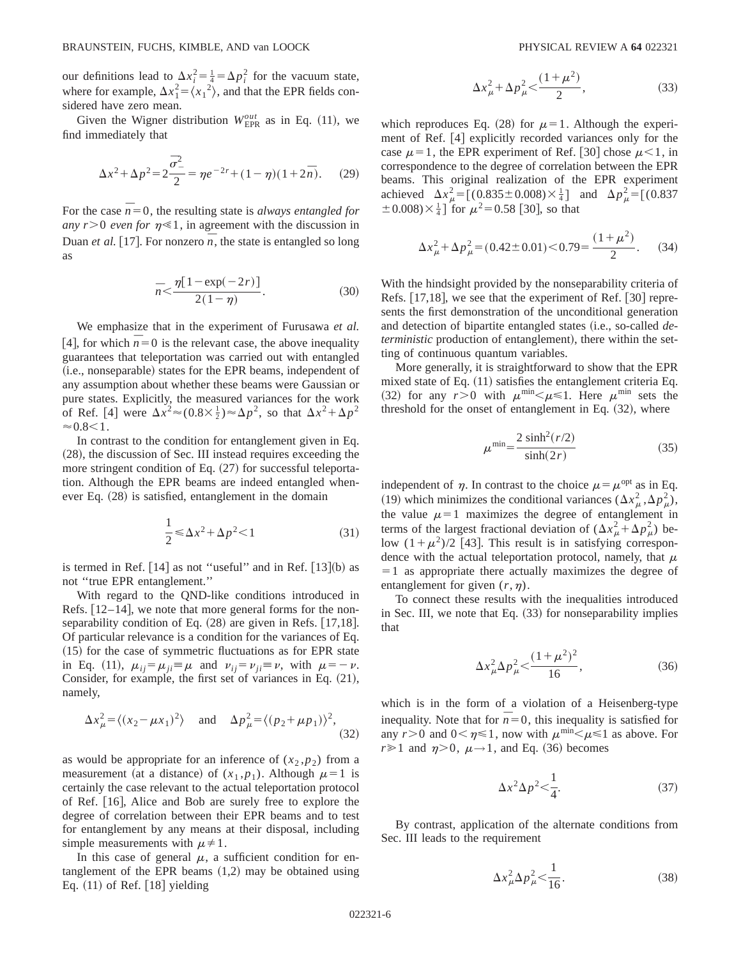our definitions lead to  $\Delta x_i^2 = \frac{1}{4} = \Delta p_i^2$  for the vacuum state, where for example,  $\Delta x_1^2 = \langle x_1^2 \rangle$ , and that the EPR fields considered have zero mean.

Given the Wigner distribution  $W_{\text{EPR}}^{out}$  as in Eq. (11), we find immediately that

$$
\Delta x^2 + \Delta p^2 = 2\frac{\bar{\sigma}_-^2}{2} = \eta e^{-2r} + (1 - \eta)(1 + 2\bar{n}).
$$
 (29)

For the case  $\overline{n}=0$ , the resulting state is *always entangled for any r*>0 *even for*  $\eta \ll 1$ , in agreement with the discussion in Duan *et al.* [17]. For nonzero  $\overline{n}$ , the state is entangled so long as

$$
\bar{n} < \frac{\eta[1 - \exp(-2r)]}{2(1 - \eta)}.\tag{30}
$$

We emphasize that in the experiment of Furusawa *et al.* [4], for which  $\overline{n} = 0$  is the relevant case, the above inequality guarantees that teleportation was carried out with entangled (i.e., nonseparable) states for the EPR beams, independent of any assumption about whether these beams were Gaussian or pure states. Explicitly, the measured variances for the work of Ref. [4] were  $\Delta x^2 \approx (0.8 \times \frac{1}{2}) \approx \Delta p^2$ , so that  $\Delta x^2 + \Delta p^2$  $\approx 0.8<1$ .

In contrast to the condition for entanglement given in Eq.  $(28)$ , the discussion of Sec. III instead requires exceeding the more stringent condition of Eq.  $(27)$  for successful teleportation. Although the EPR beams are indeed entangled whenever Eq.  $(28)$  is satisfied, entanglement in the domain

$$
\frac{1}{2} \le \Delta x^2 + \Delta p^2 < 1 \tag{31}
$$

is termed in Ref.  $[14]$  as not "useful" and in Ref.  $[13]$ (b) as not ''true EPR entanglement.''

With regard to the QND-like conditions introduced in Refs.  $[12-14]$ , we note that more general forms for the nonseparability condition of Eq.  $(28)$  are given in Refs.  $[17,18]$ . Of particular relevance is a condition for the variances of Eq.  $(15)$  for the case of symmetric fluctuations as for EPR state in Eq. (11),  $\mu_{ii} = \mu_{ii} \equiv \mu$  and  $\nu_{ii} = \nu_{ii} \equiv \nu$ , with  $\mu = -\nu$ . Consider, for example, the first set of variances in Eq.  $(21)$ , namely,

$$
\Delta x_{\mu}^{2} = \langle (x_{2} - \mu x_{1})^{2} \rangle \quad \text{and} \quad \Delta p_{\mu}^{2} = \langle (p_{2} + \mu p_{1}) \rangle^{2}, \tag{32}
$$

as would be appropriate for an inference of  $(x_2, p_2)$  from a measurement (at a distance) of  $(x_1, p_1)$ . Although  $\mu=1$  is certainly the case relevant to the actual teleportation protocol of Ref. [16], Alice and Bob are surely free to explore the degree of correlation between their EPR beams and to test for entanglement by any means at their disposal, including simple measurements with  $\mu \neq 1$ .

In this case of general  $\mu$ , a sufficient condition for entanglement of the EPR beams  $(1,2)$  may be obtained using Eq.  $(11)$  of Ref.  $[18]$  yielding

$$
\Delta x_{\mu}^{2} + \Delta p_{\mu}^{2} < \frac{(1 + \mu^{2})}{2}, \tag{33}
$$

which reproduces Eq. (28) for  $\mu=1$ . Although the experiment of Ref. [4] explicitly recorded variances only for the case  $\mu=1$ , the EPR experiment of Ref. [30] chose  $\mu<1$ , in correspondence to the degree of correlation between the EPR beams. This original realization of the EPR experiment achieved  $\Delta x_\mu^2 = [(0.835 \pm 0.008) \times \frac{1}{4}]$  and  $\Delta p_\mu^2 = [(0.837$  $\pm 0.008 \times \frac{1}{4}$  for  $\mu^2$  = 0.58 [30], so that

$$
\Delta x_{\mu}^{2} + \Delta p_{\mu}^{2} = (0.42 \pm 0.01) < 0.79 = \frac{(1 + \mu^{2})}{2}.
$$
 (34)

With the hindsight provided by the nonseparability criteria of Refs.  $[17,18]$ , we see that the experiment of Ref.  $[30]$  represents the first demonstration of the unconditional generation and detection of bipartite entangled states (i.e., so-called *deterministic* production of entanglement), there within the setting of continuous quantum variables.

More generally, it is straightforward to show that the EPR mixed state of Eq.  $(11)$  satisfies the entanglement criteria Eq. (32) for any  $r>0$  with  $\mu^{\min} < \mu \leq 1$ . Here  $\mu^{\min}$  sets the threshold for the onset of entanglement in Eq.  $(32)$ , where

$$
\mu^{\min} = \frac{2\sinh^2(r/2)}{\sinh(2r)}\tag{35}
$$

independent of  $\eta$ . In contrast to the choice  $\mu = \mu^{\text{opt}}$  as in Eq. (19) which minimizes the conditional variances  $(\Delta x^2_\mu, \Delta p^2_\mu)$ , the value  $\mu=1$  maximizes the degree of entanglement in terms of the largest fractional deviation of  $(\Delta x_\mu^2 + \Delta p_\mu^2)$  below  $(1+\mu^2)/2$  [43]. This result is in satisfying correspondence with the actual teleportation protocol, namely, that  $\mu$  $=1$  as appropriate there actually maximizes the degree of entanglement for given  $(r, \eta)$ .

To connect these results with the inequalities introduced in Sec. III, we note that Eq.  $(33)$  for nonseparability implies that

$$
\Delta x_{\mu}^{2} \Delta p_{\mu}^{2} < \frac{(1+\mu^{2})^{2}}{16},
$$
\n(36)

which is in the form of a violation of a Heisenberg-type inequality. Note that for  $\overline{n}=0$ , this inequality is satisfied for any  $r > 0$  and  $0 < \eta \le 1$ , now with  $\mu^{\min} \le \mu \le 1$  as above. For  $r \ge 1$  and  $\eta > 0$ ,  $\mu \rightarrow 1$ , and Eq. (36) becomes

$$
\Delta x^2 \Delta p^2 < \frac{1}{4}.\tag{37}
$$

By contrast, application of the alternate conditions from Sec. III leads to the requirement

$$
\Delta x_{\mu}^2 \Delta p_{\mu}^2 < \frac{1}{16}.\tag{38}
$$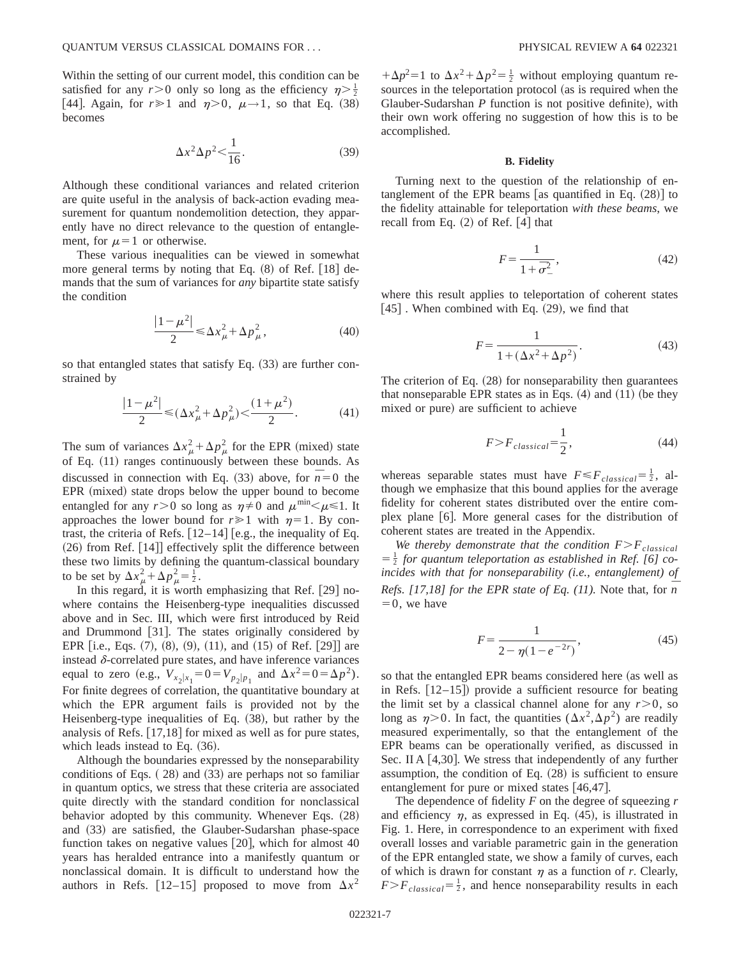Within the setting of our current model, this condition can be satisfied for any  $r > 0$  only so long as the efficiency  $\eta > \frac{1}{2}$ . [44]. Again, for  $r \ge 1$  and  $\eta > 0$ ,  $\mu \rightarrow 1$ , so that Eq. (38) becomes

$$
\Delta x^2 \Delta p^2 < \frac{1}{16}.\tag{39}
$$

Although these conditional variances and related criterion are quite useful in the analysis of back-action evading measurement for quantum nondemolition detection, they apparently have no direct relevance to the question of entanglement, for  $\mu=1$  or otherwise.

These various inequalities can be viewed in somewhat more general terms by noting that Eq.  $(8)$  of Ref. [18] demands that the sum of variances for *any* bipartite state satisfy the condition

$$
\frac{|1 - \mu^2|}{2} \le \Delta x_{\mu}^2 + \Delta p_{\mu}^2,\tag{40}
$$

so that entangled states that satisfy Eq.  $(33)$  are further constrained by

$$
\frac{|1-\mu^2|}{2} \le (\Delta x_{\mu}^2 + \Delta p_{\mu}^2) < \frac{(1+\mu^2)}{2}.\tag{41}
$$

The sum of variances  $\Delta x_\mu^2 + \Delta p_\mu^2$  for the EPR (mixed) state of Eq.  $(11)$  ranges continuously between these bounds. As discussed in connection with Eq. (33) above, for  $\overline{n} = 0$  the EPR (mixed) state drops below the upper bound to become entangled for any  $r>0$  so long as  $\eta \neq 0$  and  $\mu^{\min} \leq \mu \leq 1$ . It approaches the lower bound for  $r \ge 1$  with  $\eta = 1$ . By contrast, the criteria of Refs.  $[12–14]$  [e.g., the inequality of Eq.  $(26)$  from Ref.  $[14]$  effectively split the difference between these two limits by defining the quantum-classical boundary to be set by  $\Delta x_\mu^2 + \Delta p_\mu^2 = \frac{1}{2}$ .

In this regard, it is worth emphasizing that Ref.  $[29]$  nowhere contains the Heisenberg-type inequalities discussed above and in Sec. III, which were first introduced by Reid and Drummond [31]. The states originally considered by EPR [i.e., Eqs.  $(7)$ ,  $(8)$ ,  $(9)$ ,  $(11)$ , and  $(15)$  of Ref. [29]] are instead  $\delta$ -correlated pure states, and have inference variances equal to zero (e.g.,  $V_{x_2|x_1} = 0 = V_{p_2|p_1}$  and  $\Delta x^2 = 0 = \Delta p^2$ ). For finite degrees of correlation, the quantitative boundary at which the EPR argument fails is provided not by the Heisenberg-type inequalities of Eq.  $(38)$ , but rather by the analysis of Refs.  $[17,18]$  for mixed as well as for pure states, which leads instead to Eq.  $(36)$ .

Although the boundaries expressed by the nonseparability conditions of Eqs.  $(28)$  and  $(33)$  are perhaps not so familiar in quantum optics, we stress that these criteria are associated quite directly with the standard condition for nonclassical behavior adopted by this community. Whenever Eqs.  $(28)$ and  $(33)$  are satisfied, the Glauber-Sudarshan phase-space function takes on negative values  $[20]$ , which for almost 40 years has heralded entrance into a manifestly quantum or nonclassical domain. It is difficult to understand how the authors in Refs.  $[12-15]$  proposed to move from  $\Delta x^2$ 

 $+\Delta p^2 = 1$  to  $\Delta x^2 + \Delta p^2 = \frac{1}{2}$  without employing quantum resources in the teleportation protocol (as is required when the Glauber-Sudarshan *P* function is not positive definite), with their own work offering no suggestion of how this is to be accomplished.

#### **B. Fidelity**

Turning next to the question of the relationship of entanglement of the EPR beams [as quantified in Eq.  $(28)$ ] to the fidelity attainable for teleportation *with these beams*, we recall from Eq.  $(2)$  of Ref.  $|4|$  that

$$
F = \frac{1}{1 + \bar{\sigma}_{-}^{2}},\tag{42}
$$

where this result applies to teleportation of coherent states  $[45]$ . When combined with Eq.  $(29)$ , we find that

$$
F = \frac{1}{1 + (\Delta x^2 + \Delta p^2)}.
$$
\n(43)

The criterion of Eq.  $(28)$  for nonseparability then guarantees that nonseparable EPR states as in Eqs.  $(4)$  and  $(11)$  (be they mixed or pure) are sufficient to achieve

$$
F \ge F_{classical} = \frac{1}{2},\tag{44}
$$

whereas separable states must have  $F \leq F_{classical} = \frac{1}{2}$ , although we emphasize that this bound applies for the average fidelity for coherent states distributed over the entire complex plane [6]. More general cases for the distribution of coherent states are treated in the Appendix.

*We thereby demonstrate that the condition*  $F>F_{classical}$  $=\frac{1}{2}$  *for quantum teleportation as established in Ref.* [6] *coincides with that for nonseparability (i.e., entanglement) of Refs. [17,18] for the EPR state of Eq. (11).* Note that, for  $\overline{n}$  $=0$ , we have

$$
F = \frac{1}{2 - \eta (1 - e^{-2r})},\tag{45}
$$

so that the entangled EPR beams considered here (as well as in Refs.  $[12-15]$  provide a sufficient resource for beating the limit set by a classical channel alone for any  $r > 0$ , so long as  $\eta > 0$ . In fact, the quantities  $(\Delta x^2, \Delta p^2)$  are readily measured experimentally, so that the entanglement of the EPR beams can be operationally verified, as discussed in Sec. II A  $[4,30]$ . We stress that independently of any further assumption, the condition of Eq.  $(28)$  is sufficient to ensure entanglement for pure or mixed states  $[46,47]$ .

The dependence of fidelity *F* on the degree of squeezing *r* and efficiency  $\eta$ , as expressed in Eq. (45), is illustrated in Fig. 1. Here, in correspondence to an experiment with fixed overall losses and variable parametric gain in the generation of the EPR entangled state, we show a family of curves, each of which is drawn for constant  $\eta$  as a function of  $r$ . Clearly,  $F>F_{classical} = \frac{1}{2}$ , and hence nonseparability results in each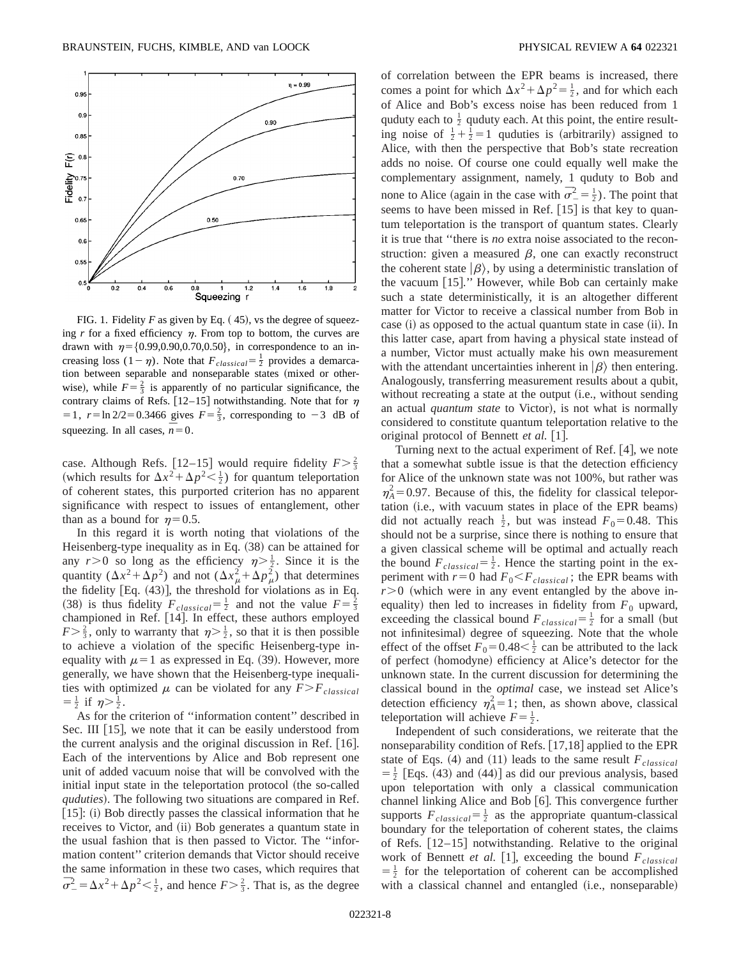

FIG. 1. Fidelity  $F$  as given by Eq.  $(45)$ , vs the degree of squeezing  $r$  for a fixed efficiency  $\eta$ . From top to bottom, the curves are drawn with  $\eta = \{0.99, 0.90, 0.70, 0.50\}$ , in correspondence to an increasing loss  $(1 - \eta)$ . Note that  $F_{classical} = \frac{1}{2}$  provides a demarcation between separable and nonseparable states (mixed or otherwise), while  $F = \frac{2}{3}$  is apparently of no particular significance, the contrary claims of Refs. [12–15] notwithstanding. Note that for  $\eta$  $= 1$ ,  $r = \ln 2/2 = 0.3466$  gives  $F = \frac{2}{3}$ , corresponding to  $-3$  dB of squeezing. In all cases,  $n = 0$ .

case. Although Refs. [12–15] would require fidelity  $F > \frac{2}{3}$ (which results for  $\Delta x^2 + \Delta p^2 < \frac{1}{2}$ ) for quantum teleportation of coherent states, this purported criterion has no apparent significance with respect to issues of entanglement, other than as a bound for  $\eta=0.5$ .

In this regard it is worth noting that violations of the Heisenberg-type inequality as in Eq.  $(38)$  can be attained for any  $r > 0$  so long as the efficiency  $\eta > \frac{1}{2}$ . Since it is the quantity  $(\Delta x^2 + \Delta p^2)$  and not  $(\Delta x_\mu^2 + \Delta p_\mu^2)$  that determines the fidelity  $[Eq. (43)]$ , the threshold for violations as in Eq. (38) is thus fidelity  $F_{classical} = \frac{1}{2}$  and not the value  $F = \frac{2}{3}$ championed in Ref. [14]. In effect, these authors employed  $F > \frac{2}{3}$ , only to warranty that  $\eta > \frac{1}{2}$ , so that it is then possible to achieve a violation of the specific Heisenberg-type inequality with  $\mu=1$  as expressed in Eq. (39). However, more generally, we have shown that the Heisenberg-type inequalities with optimized  $\mu$  can be violated for any  $F>F_{classical}$  $=\frac{1}{2}$  if  $\eta > \frac{1}{2}$ .

As for the criterion of ''information content'' described in Sec. III  $[15]$ , we note that it can be easily understood from the current analysis and the original discussion in Ref.  $[16]$ . Each of the interventions by Alice and Bob represent one unit of added vacuum noise that will be convolved with the initial input state in the teleportation protocol (the so-called *quduties*). The following two situations are compared in Ref.  $|15|$ : (i) Bob directly passes the classical information that he receives to Victor, and (ii) Bob generates a quantum state in the usual fashion that is then passed to Victor. The ''information content'' criterion demands that Victor should receive the same information in these two cases, which requires that  $\vec{\sigma}^2 = \Delta x^2 + \Delta p^2 < \frac{1}{2}$ , and hence  $F > \frac{2}{3}$ . That is, as the degree of correlation between the EPR beams is increased, there comes a point for which  $\Delta x^2 + \Delta p^2 = \frac{1}{2}$ , and for which each of Alice and Bob's excess noise has been reduced from 1 quduty each to  $\frac{1}{2}$  quduty each. At this point, the entire resulting noise of  $\frac{1}{2} + \frac{1}{2} = 1$  quduties is (arbitrarily) assigned to Alice, with then the perspective that Bob's state recreation adds no noise. Of course one could equally well make the complementary assignment, namely, 1 quduty to Bob and none to Alice (again in the case with  $\overline{\sigma}_-^2 = \frac{1}{2}$ ). The point that seems to have been missed in Ref.  $[15]$  is that key to quantum teleportation is the transport of quantum states. Clearly it is true that ''there is *no* extra noise associated to the reconstruction: given a measured  $\beta$ , one can exactly reconstruct the coherent state  $|\beta\rangle$ , by using a deterministic translation of the vacuum  $[15]$ ." However, while Bob can certainly make such a state deterministically, it is an altogether different matter for Victor to receive a classical number from Bob in case (i) as opposed to the actual quantum state in case (ii). In this latter case, apart from having a physical state instead of a number, Victor must actually make his own measurement with the attendant uncertainties inherent in  $|\beta\rangle$  then entering. Analogously, transferring measurement results about a qubit, without recreating a state at the output (i.e., without sending an actual *quantum state* to Victor), is not what is normally considered to constitute quantum teleportation relative to the original protocol of Bennett *et al.* [1].

Turning next to the actual experiment of Ref.  $[4]$ , we note that a somewhat subtle issue is that the detection efficiency for Alice of the unknown state was not 100%, but rather was  $\eta_A^2$ =0.97. Because of this, the fidelity for classical teleportation (i.e., with vacuum states in place of the EPR beams) did not actually reach  $\frac{1}{2}$ , but was instead  $F_0 = 0.48$ . This should not be a surprise, since there is nothing to ensure that a given classical scheme will be optimal and actually reach the bound  $F_{classical} = \frac{1}{2}$ . Hence the starting point in the experiment with  $r=0$  had  $F_0 \leq F_{classical}$ ; the EPR beams with  $r > 0$  (which were in any event entangled by the above inequality) then led to increases in fidelity from  $F_0$  upward, exceeding the classical bound  $F_{classical} = \frac{1}{2}$  for a small (but not infinitesimal) degree of squeezing. Note that the whole effect of the offset  $F_0 = 0.48 < \frac{1}{2}$  can be attributed to the lack of perfect (homodyne) efficiency at Alice's detector for the unknown state. In the current discussion for determining the classical bound in the *optimal* case, we instead set Alice's detection efficiency  $\eta_A^2 = 1$ ; then, as shown above, classical teleportation will achieve  $F = \frac{1}{2}$ .

Independent of such considerations, we reiterate that the nonseparability condition of Refs.  $[17,18]$  applied to the EPR state of Eqs.  $(4)$  and  $(11)$  leads to the same result  $F_{classical}$  $=$   $\frac{1}{2}$  [Eqs. (43) and (44)] as did our previous analysis, based upon teleportation with only a classical communication channel linking Alice and Bob  $[6]$ . This convergence further supports  $F_{classical} = \frac{1}{2}$  as the appropriate quantum-classical boundary for the teleportation of coherent states, the claims of Refs.  $[12-15]$  notwithstanding. Relative to the original work of Bennett *et al.* [1], exceeding the bound  $F_{classical}$  $=$   $\frac{1}{2}$  for the teleportation of coherent can be accomplished with a classical channel and entangled (i.e., nonseparable)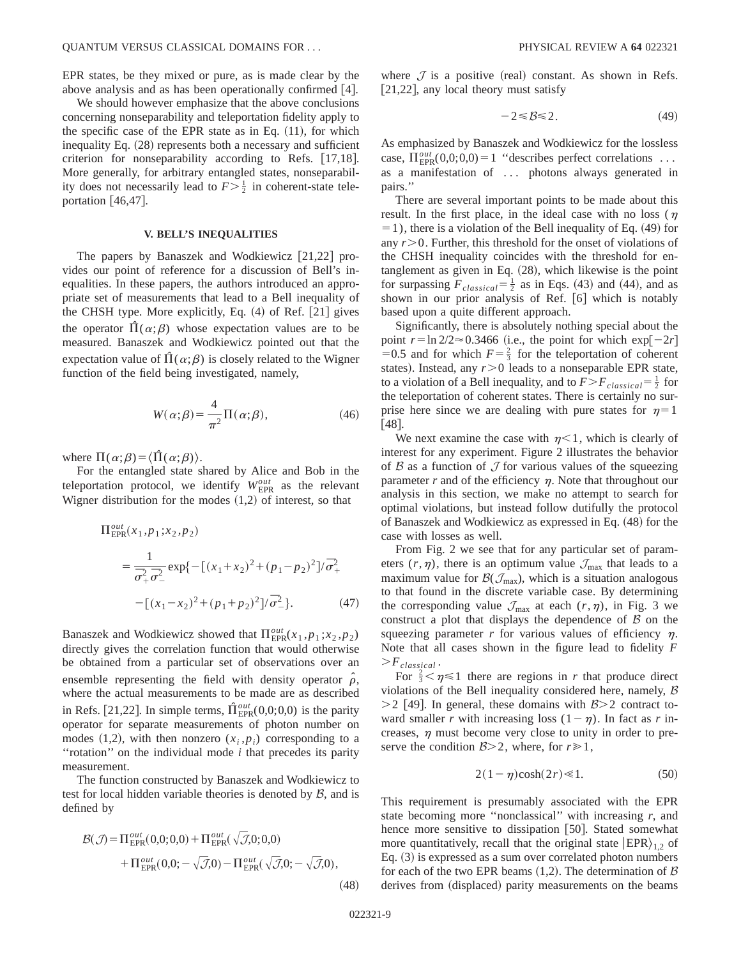EPR states, be they mixed or pure, as is made clear by the above analysis and as has been operationally confirmed  $[4]$ .

We should however emphasize that the above conclusions concerning nonseparability and teleportation fidelity apply to the specific case of the EPR state as in Eq.  $(11)$ , for which inequality Eq. (28) represents both a necessary and sufficient criterion for nonseparability according to Refs.  $[17,18]$ . More generally, for arbitrary entangled states, nonseparability does not necessarily lead to  $F > \frac{1}{2}$  in coherent-state teleportation  $|46,47|$ .

## **V. BELL'S INEQUALITIES**

The papers by Banaszek and Wodkiewicz  $[21,22]$  provides our point of reference for a discussion of Bell's inequalities. In these papers, the authors introduced an appropriate set of measurements that lead to a Bell inequality of the CHSH type. More explicitly, Eq.  $(4)$  of Ref.  $[21]$  gives the operator  $\Pi(\alpha;\beta)$  whose expectation values are to be measured. Banaszek and Wodkiewicz pointed out that the expectation value of  $\Pi(\alpha;\beta)$  is closely related to the Wigner function of the field being investigated, namely,

$$
W(\alpha;\beta) = \frac{4}{\pi^2} \Pi(\alpha;\beta),\tag{46}
$$

where  $\Pi(\alpha;\beta) = \langle \hat{\Pi}(\alpha;\beta) \rangle$ .

For the entangled state shared by Alice and Bob in the teleportation protocol, we identify  $W_{\text{EPR}}^{out}$  as the relevant Wigner distribution for the modes  $(1,2)$  of interest, so that

$$
\Pi_{\text{EPR}}^{out}(x_1, p_1; x_2, p_2)
$$
\n
$$
= \frac{1}{\overline{\sigma}_+^2 \overline{\sigma}_-^2} \exp\{-[(x_1 + x_2)^2 + (p_1 - p_2)^2]/\overline{\sigma}_+^2 - [ (x_1 - x_2)^2 + (p_1 + p_2)^2]/\overline{\sigma}_-^2 \}.
$$
\n(47)

Banaszek and Wodkiewicz showed that  $\Pi_{\text{EPR}}^{out}(x_1, p_1; x_2, p_2)$ directly gives the correlation function that would otherwise be obtained from a particular set of observations over an ensemble representing the field with density operator  $\hat{\rho}$ , where the actual measurements to be made are as described in Refs. [21,22]. In simple terms,  $\hat{\Pi}_{\text{EPR}}^{out}(0,0;0,0)$  is the parity operator for separate measurements of photon number on modes  $(1,2)$ , with then nonzero  $(x_i, p_i)$  corresponding to a ''rotation'' on the individual mode *i* that precedes its parity measurement.

The function constructed by Banaszek and Wodkiewicz to test for local hidden variable theories is denoted by  $\beta$ , and is defined by

$$
\mathcal{B}(\mathcal{J}) = \Pi_{\text{EPR}}^{out}(0,0;0,0) + \Pi_{\text{EPR}}^{out}(\sqrt{\mathcal{J}},0;0,0) \n+ \Pi_{\text{EPR}}^{out}(0,0;-\sqrt{\mathcal{J}},0) - \Pi_{\text{EPR}}^{out}(\sqrt{\mathcal{J}},0;-\sqrt{\mathcal{J}},0),
$$
\n(48)

where  $\mathcal I$  is a positive (real) constant. As shown in Refs.  $[21,22]$ , any local theory must satisfy

$$
-2 \leq B \leq 2. \tag{49}
$$

As emphasized by Banaszek and Wodkiewicz for the lossless case,  $\Pi_{\text{EPR}}^{out}(0,0;0,0)=1$  "describes perfect correlations ... as a manifestation of ... photons always generated in pairs.''

There are several important points to be made about this result. In the first place, in the ideal case with no loss ( $\eta$ )  $=$  1), there is a violation of the Bell inequality of Eq. (49) for any  $r > 0$ . Further, this threshold for the onset of violations of the CHSH inequality coincides with the threshold for entanglement as given in Eq.  $(28)$ , which likewise is the point for surpassing  $F_{classical} = \frac{1}{2}$  as in Eqs. (43) and (44), and as shown in our prior analysis of Ref. [6] which is notably based upon a quite different approach.

Significantly, there is absolutely nothing special about the point  $r = \ln 2/2 \approx 0.3466$  (i.e., the point for which  $\exp[-2r]$ =0.5 and for which  $F = \frac{2}{3}$  for the teleportation of coherent states). Instead, any  $r > 0$  leads to a nonseparable EPR state, to a violation of a Bell inequality, and to  $F > F_{classical} = \frac{1}{2}$  for the teleportation of coherent states. There is certainly no surprise here since we are dealing with pure states for  $\eta=1$  $[48]$ .

We next examine the case with  $n<1$ , which is clearly of interest for any experiment. Figure 2 illustrates the behavior of  $\beta$  as a function of  $\mathcal J$  for various values of the squeezing parameter  $r$  and of the efficiency  $\eta$ . Note that throughout our analysis in this section, we make no attempt to search for optimal violations, but instead follow dutifully the protocol of Banaszek and Wodkiewicz as expressed in Eq.  $(48)$  for the case with losses as well.

From Fig. 2 we see that for any particular set of parameters  $(r, \eta)$ , there is an optimum value  $\mathcal{J}_{\text{max}}$  that leads to a maximum value for  $\mathcal{B}(\mathcal{J}_{\text{max}})$ , which is a situation analogous to that found in the discrete variable case. By determining the corresponding value  $\mathcal{J}_{\text{max}}$  at each  $(r, \eta)$ , in Fig. 3 we construct a plot that displays the dependence of  $\beta$  on the squeezing parameter  $r$  for various values of efficiency  $\eta$ . Note that all cases shown in the figure lead to fidelity *F*  $>F_{classical}$ .

For  $\frac{2}{3} < \eta \le 1$  there are regions in *r* that produce direct violations of the Bell inequality considered here, namely,  $\beta$  $>$ 2 [49]. In general, these domains with  $\beta$  $>$ 2 contract toward smaller *r* with increasing loss  $(1 - \eta)$ . In fact as *r* increases,  $\eta$  must become very close to unity in order to preserve the condition  $\beta > 2$ , where, for  $r \ge 1$ ,

$$
2(1 - \eta)\cosh(2r) \ll 1. \tag{50}
$$

This requirement is presumably associated with the EPR state becoming more "nonclassical" with increasing  $r$ , and hence more sensitive to dissipation [50]. Stated somewhat more quantitatively, recall that the original state  $\ket{EPR}_{1,2}$  of Eq.  $(3)$  is expressed as a sum over correlated photon numbers for each of the two EPR beams  $(1,2)$ . The determination of  $\beta$ derives from (displaced) parity measurements on the beams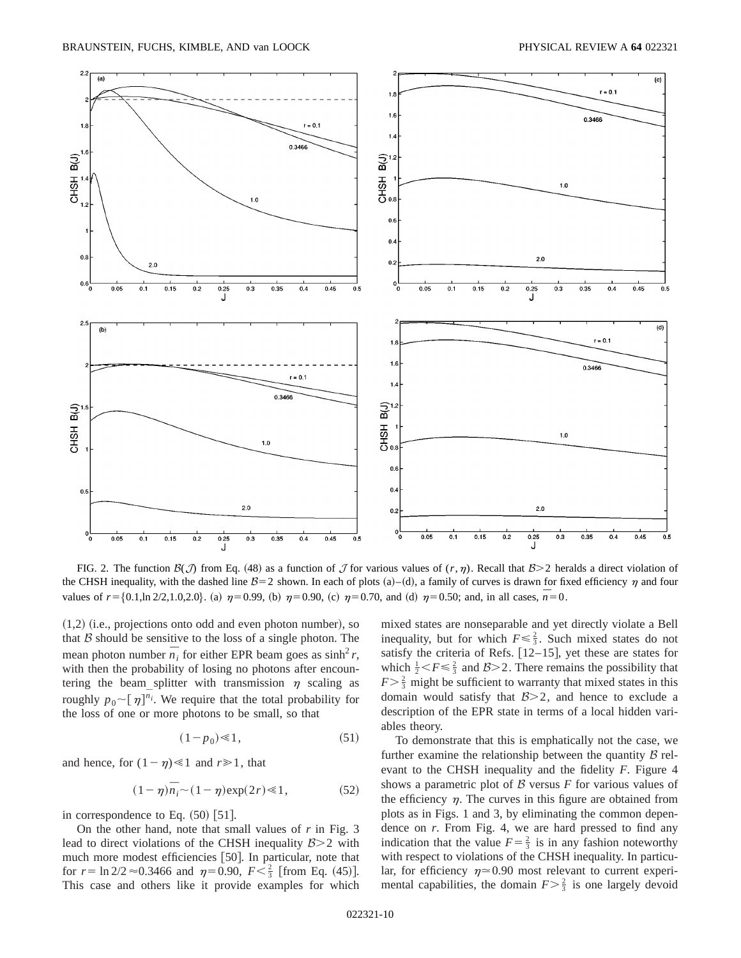

FIG. 2. The function  $\mathcal{B}(\mathcal{J})$  from Eq. (48) as a function of  $\mathcal J$  for various values of  $(r, \eta)$ . Recall that  $\mathcal{B} > 2$  heralds a direct violation of the CHSH inequality, with the dashed line  $B=2$  shown. In each of plots (a)–(d), a family of curves is drawn for fixed efficiency  $\eta$  and four values of  $r = \{0.1, \ln 2/2, 1.0, 2.0\}$ . (a)  $\eta = 0.99$ , (b)  $\eta = 0.90$ , (c)  $\eta = 0.70$ , and (d)  $\eta = 0.50$ ; and, in all cases,  $\overline{n} = 0$ .

 $(1,2)$  (i.e., projections onto odd and even photon number), so that  $B$  should be sensitive to the loss of a single photon. The mean photon number  $\overline{n}_i$  for either EPR beam goes as sinh<sup>2</sup> *r*, with then the probability of losing no photons after encountering the beam splitter with transmission  $\eta$  scaling as roughly  $p_0 \sim [\eta]^{n_i}$ . We require that the total probability for the loss of one or more photons to be small, so that

$$
(1 - p_0) \ll 1,\tag{51}
$$

and hence, for  $(1-\eta) \ll 1$  and  $r \gg 1$ , that

$$
(1 - \eta)\overline{n}_i \sim (1 - \eta) \exp(2r) \ll 1, \tag{52}
$$

in correspondence to Eq.  $(50)$  [51].

On the other hand, note that small values of *r* in Fig. 3 lead to direct violations of the CHSH inequality  $\mathcal{B} > 2$  with much more modest efficiencies [50]. In particular, note that for  $r = \ln 2/2 \approx 0.3466$  and  $\eta = 0.90$ ,  $F < \frac{2}{3}$  [from Eq. (45)]. This case and others like it provide examples for which mixed states are nonseparable and yet directly violate a Bell inequality, but for which  $F \leq \frac{2}{3}$ . Such mixed states do not satisfy the criteria of Refs.  $[12–15]$ , yet these are states for which  $\frac{1}{2} < F \leq \frac{2}{3}$  and  $B > 2$ . There remains the possibility that  $F > \frac{2}{3}$  might be sufficient to warranty that mixed states in this domain would satisfy that  $B>2$ , and hence to exclude a description of the EPR state in terms of a local hidden variables theory.

To demonstrate that this is emphatically not the case, we further examine the relationship between the quantity  $\beta$  relevant to the CHSH inequality and the fidelity *F*. Figure 4 shows a parametric plot of  $\beta$  versus  $F$  for various values of the efficiency  $\eta$ . The curves in this figure are obtained from plots as in Figs. 1 and 3, by eliminating the common dependence on *r*. From Fig. 4, we are hard pressed to find any indication that the value  $F = \frac{2}{3}$  is in any fashion noteworthy with respect to violations of the CHSH inequality. In particular, for efficiency  $\eta \approx 0.90$  most relevant to current experimental capabilities, the domain  $F > \frac{2}{3}$  is one largely devoid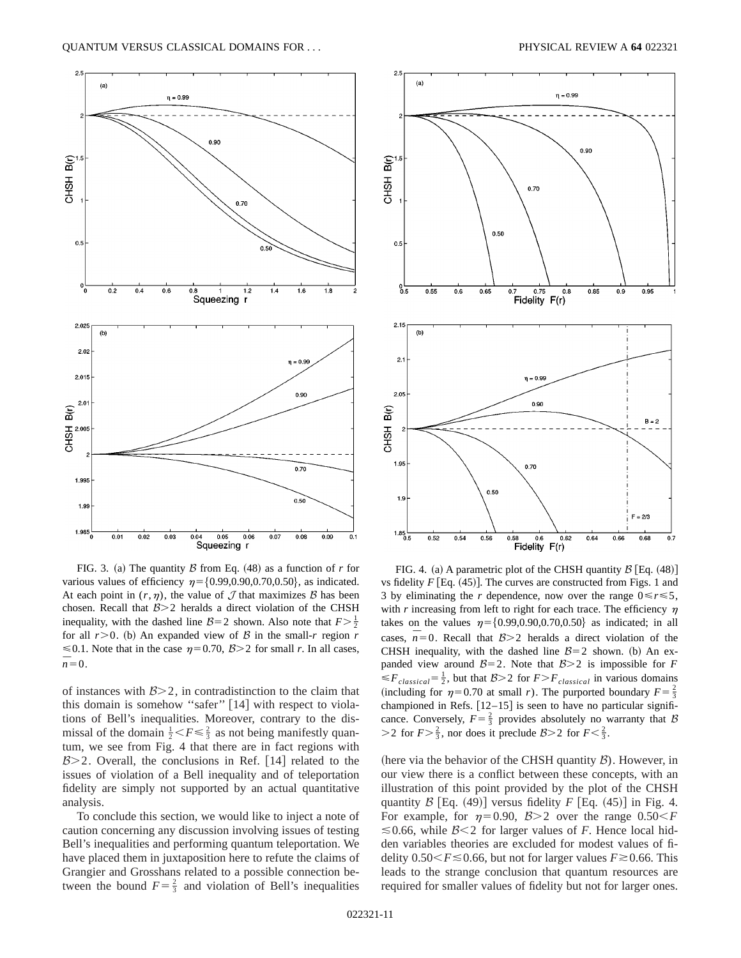

FIG. 3. (a) The quantity  $\beta$  from Eq. (48) as a function of *r* for various values of efficiency  $\eta = \{0.99, 0.90, 0.70, 0.50\}$ , as indicated. At each point in  $(r, \eta)$ , the value of  $\mathcal J$  that maximizes  $\mathcal B$  has been chosen. Recall that  $B>2$  heralds a direct violation of the CHSH inequality, with the dashed line  $B=2$  shown. Also note that  $F>\frac{1}{2}$ for all  $r > 0$ . (b) An expanded view of  $\beta$  in the small-*r* region *r*  $\leq 0.1$ . Note that in the case  $\eta = 0.70$ ,  $\beta > 2$  for small *r*. In all cases,  $\overline{n}=0.$ 

of instances with  $B>2$ , in contradistinction to the claim that this domain is somehow "safer"  $[14]$  with respect to violations of Bell's inequalities. Moreover, contrary to the dismissal of the domain  $\frac{1}{2} < F \leq \frac{2}{3}$  as not being manifestly quantum, we see from Fig. 4 that there are in fact regions with  $B>2$ . Overall, the conclusions in Ref. [14] related to the issues of violation of a Bell inequality and of teleportation fidelity are simply not supported by an actual quantitative analysis.

To conclude this section, we would like to inject a note of caution concerning any discussion involving issues of testing Bell's inequalities and performing quantum teleportation. We have placed them in juxtaposition here to refute the claims of Grangier and Grosshans related to a possible connection between the bound  $F = \frac{2}{3}$  and violation of Bell's inequalities





FIG. 4. (a) A parametric plot of the CHSH quantity  $\beta$  [Eq. (48)] vs fidelity  $F$  [Eq. (45)]. The curves are constructed from Figs. 1 and 3 by eliminating the *r* dependence, now over the range  $0 \le r \le 5$ , with  $r$  increasing from left to right for each trace. The efficiency  $\eta$ takes on the values  $\eta = \{0.99, 0.90, 0.70, 0.50\}$  as indicated; in all cases,  $\overline{n}$ =0. Recall that  $\beta$ >2 heralds a direct violation of the CHSH inequality, with the dashed line  $B=2$  shown. (b) An expanded view around  $B=2$ . Note that  $B>2$  is impossible for *F*  $\leq F_{classical} = \frac{1}{2}$ , but that  $B > 2$  for  $F > F_{classical}$  in various domains (including for  $\eta=0.70$  at small *r*). The purported boundary  $F=\frac{2}{3}$ championed in Refs.  $[12-15]$  is seen to have no particular significance. Conversely,  $F = \frac{2}{3}$  provides absolutely no warranty that B  $>$ 2 for  $F > \frac{2}{3}$ , nor does it preclude  $B > 2$  for  $F < \frac{2}{3}$ .

(here via the behavior of the CHSH quantity  $\beta$ ). However, in our view there is a conflict between these concepts, with an illustration of this point provided by the plot of the CHSH quantity  $\beta$  [Eq. (49)] versus fidelity *F* [Eq. (45)] in Fig. 4. For example, for  $\eta=0.90$ ,  $\beta>2$  over the range  $0.50\leq F$  $\leq 0.66$ , while  $\beta$ <2 for larger values of *F*. Hence local hidden variables theories are excluded for modest values of fidelity  $0.50 \le F \le 0.66$ , but not for larger values  $F \ge 0.66$ . This leads to the strange conclusion that quantum resources are required for smaller values of fidelity but not for larger ones.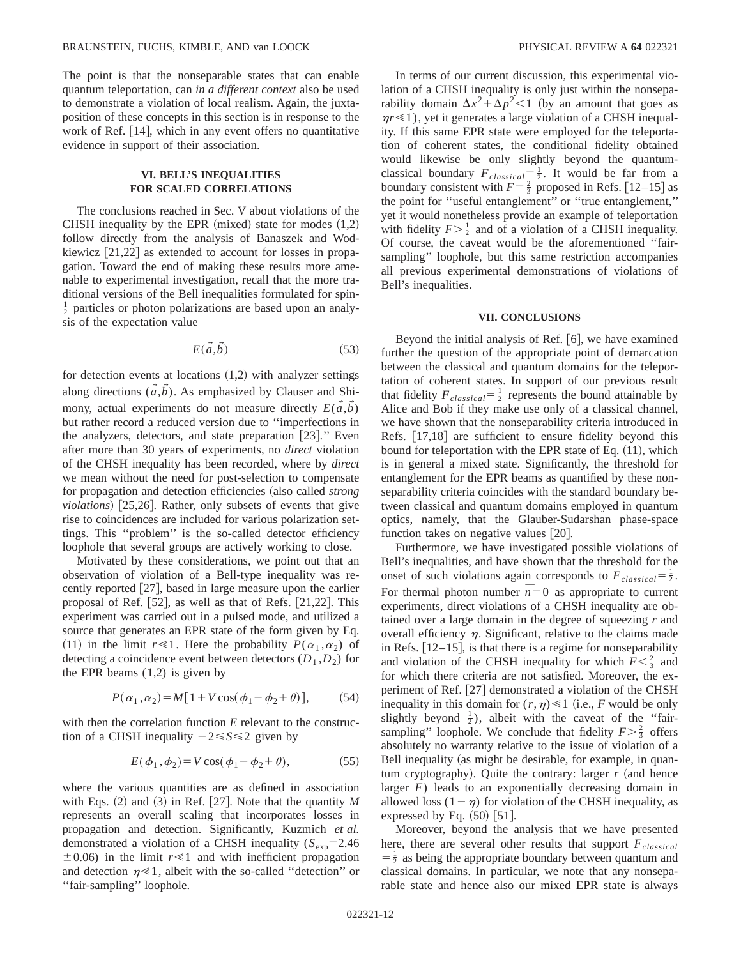The point is that the nonseparable states that can enable quantum teleportation, can *in a different context* also be used to demonstrate a violation of local realism. Again, the juxtaposition of these concepts in this section is in response to the work of Ref.  $[14]$ , which in any event offers no quantitative evidence in support of their association.

## **VI. BELL'S INEQUALITIES FOR SCALED CORRELATIONS**

The conclusions reached in Sec. V about violations of the CHSH inequality by the EPR (mixed) state for modes  $(1,2)$ follow directly from the analysis of Banaszek and Wodkiewicz  $[21,22]$  as extended to account for losses in propagation. Toward the end of making these results more amenable to experimental investigation, recall that the more traditional versions of the Bell inequalities formulated for spin- $\frac{1}{2}$  particles or photon polarizations are based upon an analysis of the expectation value

$$
E(\vec{a}, \vec{b}) \tag{53}
$$

for detection events at locations  $(1,2)$  with analyzer settings along directions  $(\tilde{a}, \tilde{b})$ . As emphasized by Clauser and Shimony, actual experiments do not measure directly  $E(\vec{a}, \vec{b})$ but rather record a reduced version due to ''imperfections in the analyzers, detectors, and state preparation  $[23]$ ." Even after more than 30 years of experiments, no *direct* violation of the CHSH inequality has been recorded, where by *direct* we mean without the need for post-selection to compensate for propagation and detection efficiencies (also called *strong violations*) [25,26]. Rather, only subsets of events that give rise to coincidences are included for various polarization settings. This ''problem'' is the so-called detector efficiency loophole that several groups are actively working to close.

Motivated by these considerations, we point out that an observation of violation of a Bell-type inequality was recently reported  $[27]$ , based in large measure upon the earlier proposal of Ref.  $[52]$ , as well as that of Refs.  $[21,22]$ . This experiment was carried out in a pulsed mode, and utilized a source that generates an EPR state of the form given by Eq. (11) in the limit  $r \ll 1$ . Here the probability  $P(\alpha_1, \alpha_2)$  of detecting a coincidence event between detectors  $(D_1, D_2)$  for the EPR beams (1,2) is given by

$$
P(\alpha_1, \alpha_2) = M[1 + V\cos(\phi_1 - \phi_2 + \theta)],\tag{54}
$$

with then the correlation function *E* relevant to the construction of a CHSH inequality  $-2 \leq S \leq 2$  given by

$$
E(\phi_1, \phi_2) = V \cos(\phi_1 - \phi_2 + \theta), \tag{55}
$$

where the various quantities are as defined in association with Eqs.  $(2)$  and  $(3)$  in Ref. [27]. Note that the quantity *M* represents an overall scaling that incorporates losses in propagation and detection. Significantly, Kuzmich *et al.* demonstrated a violation of a CHSH inequality  $(S_{exp}=2.46$  $\pm 0.06$ ) in the limit  $r \le 1$  and with inefficient propagation and detection  $\eta \ll 1$ , albeit with the so-called "detection" or ''fair-sampling'' loophole.

In terms of our current discussion, this experimental violation of a CHSH inequality is only just within the nonseparability domain  $\Delta x^2 + \Delta p^2 < 1$  (by an amount that goes as  $\eta r \ll 1$ ), yet it generates a large violation of a CHSH inequality. If this same EPR state were employed for the teleportation of coherent states, the conditional fidelity obtained would likewise be only slightly beyond the quantumclassical boundary  $F_{classical} = \frac{1}{2}$ . It would be far from a boundary consistent with  $F = \frac{2}{3}$  proposed in Refs. [12–15] as the point for ''useful entanglement'' or ''true entanglement,'' yet it would nonetheless provide an example of teleportation with fidelity  $F > \frac{1}{2}$  and of a violation of a CHSH inequality. Of course, the caveat would be the aforementioned ''fairsampling'' loophole, but this same restriction accompanies all previous experimental demonstrations of violations of Bell's inequalities.

#### **VII. CONCLUSIONS**

Beyond the initial analysis of Ref.  $[6]$ , we have examined further the question of the appropriate point of demarcation between the classical and quantum domains for the teleportation of coherent states. In support of our previous result that fidelity  $F_{classical} = \frac{1}{2}$  represents the bound attainable by Alice and Bob if they make use only of a classical channel, we have shown that the nonseparability criteria introduced in Refs.  $[17,18]$  are sufficient to ensure fidelity beyond this bound for teleportation with the EPR state of Eq.  $(11)$ , which is in general a mixed state. Significantly, the threshold for entanglement for the EPR beams as quantified by these nonseparability criteria coincides with the standard boundary between classical and quantum domains employed in quantum optics, namely, that the Glauber-Sudarshan phase-space function takes on negative values  $[20]$ .

Furthermore, we have investigated possible violations of Bell's inequalities, and have shown that the threshold for the onset of such violations again corresponds to  $F_{classical} = \frac{1}{2}$ . For thermal photon number  $\overline{n} = 0$  as appropriate to current experiments, direct violations of a CHSH inequality are obtained over a large domain in the degree of squeezing *r* and overall efficiency  $\eta$ . Significant, relative to the claims made in Refs.  $[12-15]$ , is that there is a regime for nonseparability and violation of the CHSH inequality for which  $F < \frac{2}{3}$  and for which there criteria are not satisfied. Moreover, the experiment of Ref. [27] demonstrated a violation of the CHSH inequality in this domain for  $(r, \eta) \ll 1$  (i.e., *F* would be only slightly beyond  $\frac{1}{2}$ ), albeit with the caveat of the "fairsampling" loophole. We conclude that fidelity  $F > \frac{2}{3}$  offers absolutely no warranty relative to the issue of violation of a Bell inequality (as might be desirable, for example, in quantum cryptography). Quite the contrary: larger  $r$  (and hence larger *F*) leads to an exponentially decreasing domain in allowed loss  $(1-\eta)$  for violation of the CHSH inequality, as expressed by Eq.  $(50)$  [51].

Moreover, beyond the analysis that we have presented here, there are several other results that support  $F_{classical}$  $=$   $\frac{1}{2}$  as being the appropriate boundary between quantum and classical domains. In particular, we note that any nonseparable state and hence also our mixed EPR state is always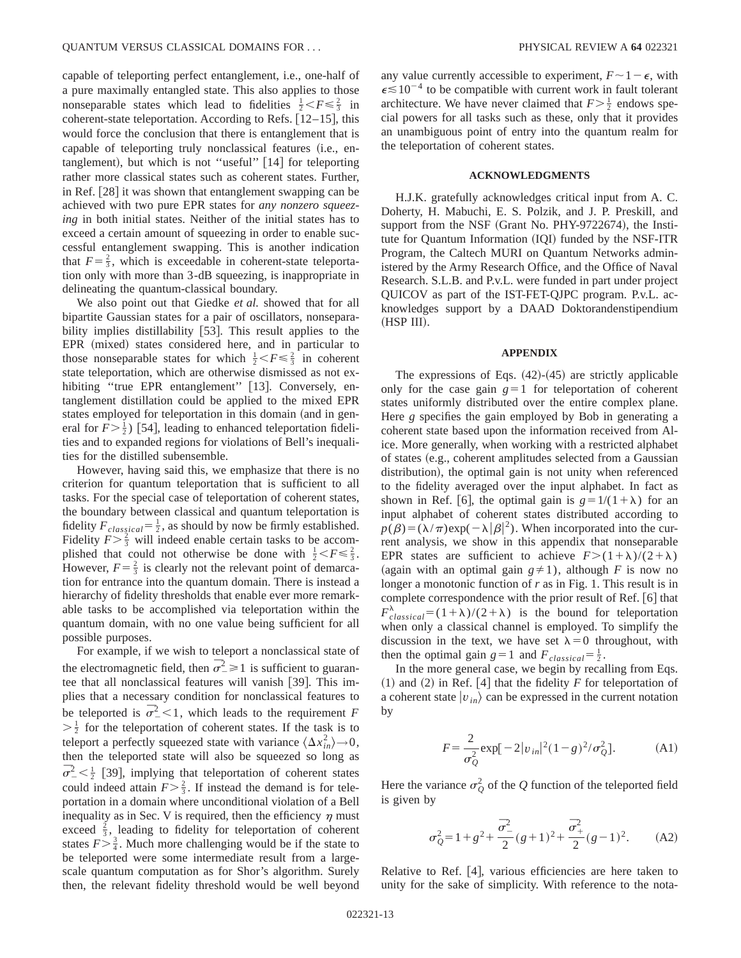capable of teleporting perfect entanglement, i.e., one-half of a pure maximally entangled state. This also applies to those nonseparable states which lead to fidelities  $\frac{1}{2} < F \leq \frac{2}{3}$  in coherent-state teleportation. According to Refs.  $[12–15]$ , this would force the conclusion that there is entanglement that is capable of teleporting truly nonclassical features (i.e., entanglement), but which is not "useful"  $\lceil 14 \rceil$  for teleporting rather more classical states such as coherent states. Further, in Ref.  $[28]$  it was shown that entanglement swapping can be achieved with two pure EPR states for *any nonzero squeezing* in both initial states. Neither of the initial states has to exceed a certain amount of squeezing in order to enable successful entanglement swapping. This is another indication that  $F=\frac{2}{3}$ , which is exceedable in coherent-state teleportation only with more than 3-dB squeezing, is inappropriate in delineating the quantum-classical boundary.

We also point out that Giedke *et al.* showed that for all bipartite Gaussian states for a pair of oscillators, nonseparability implies distillability  $[53]$ . This result applies to the EPR (mixed) states considered here, and in particular to those nonseparable states for which  $\frac{1}{2} < F \leq \frac{2}{3}$  in coherent state teleportation, which are otherwise dismissed as not exhibiting "true EPR entanglement" [13]. Conversely, entanglement distillation could be applied to the mixed EPR states employed for teleportation in this domain (and in general for  $F > \frac{1}{2}$ ) [54], leading to enhanced teleportation fidelities and to expanded regions for violations of Bell's inequalities for the distilled subensemble.

However, having said this, we emphasize that there is no criterion for quantum teleportation that is sufficient to all tasks. For the special case of teleportation of coherent states, the boundary between classical and quantum teleportation is fidelity  $F_{classical} = \frac{1}{2}$ , as should by now be firmly established. Fidelity  $F > \frac{2}{3}$  will indeed enable certain tasks to be accomplished that could not otherwise be done with  $\frac{1}{2} < F \leq \frac{2}{3}$ . However,  $F = \frac{2}{3}$  is clearly not the relevant point of demarcation for entrance into the quantum domain. There is instead a hierarchy of fidelity thresholds that enable ever more remarkable tasks to be accomplished via teleportation within the quantum domain, with no one value being sufficient for all possible purposes.

For example, if we wish to teleport a nonclassical state of the electromagnetic field, then  $\overline{\sigma}_-^2 \ge 1$  is sufficient to guarantee that all nonclassical features will vanish [39]. This implies that a necessary condition for nonclassical features to be teleported is  $\bar{\sigma}_{-}^2$  < 1, which leads to the requirement *F*  $>\frac{1}{2}$  for the teleportation of coherent states. If the task is to teleport a perfectly squeezed state with variance  $\langle \Delta x_{in}^2 \rangle \rightarrow 0$ , then the teleported state will also be squeezed so long as  $\overline{\sigma}^2 < \frac{1}{2}$  [39], implying that teleportation of coherent states could indeed attain  $F > \frac{2}{3}$ . If instead the demand is for teleportation in a domain where unconditional violation of a Bell inequality as in Sec. V is required, then the efficiency  $\eta$  must exceed  $\frac{2}{3}$ , leading to fidelity for teleportation of coherent states  $F > \frac{3}{4}$ . Much more challenging would be if the state to be teleported were some intermediate result from a largescale quantum computation as for Shor's algorithm. Surely then, the relevant fidelity threshold would be well beyond any value currently accessible to experiment,  $F \sim 1 - \epsilon$ , with  $\epsilon \lesssim 10^{-4}$  to be compatible with current work in fault tolerant architecture. We have never claimed that  $F \geq \frac{1}{2}$  endows special powers for all tasks such as these, only that it provides an unambiguous point of entry into the quantum realm for the teleportation of coherent states.

#### **ACKNOWLEDGMENTS**

H.J.K. gratefully acknowledges critical input from A. C. Doherty, H. Mabuchi, E. S. Polzik, and J. P. Preskill, and support from the NSF (Grant No.  $PHY-9722674$ ), the Institute for Quantum Information (IQI) funded by the NSF-ITR Program, the Caltech MURI on Quantum Networks administered by the Army Research Office, and the Office of Naval Research. S.L.B. and P.v.L. were funded in part under project QUICOV as part of the IST-FET-QJPC program. P.v.L. acknowledges support by a DAAD Doktorandenstipendium  $(HSP III).$ 

#### **APPENDIX**

The expressions of Eqs.  $(42)$ - $(45)$  are strictly applicable only for the case gain  $g=1$  for teleportation of coherent states uniformly distributed over the entire complex plane. Here *g* specifies the gain employed by Bob in generating a coherent state based upon the information received from Alice. More generally, when working with a restricted alphabet of states (e.g., coherent amplitudes selected from a Gaussian distribution), the optimal gain is not unity when referenced to the fidelity averaged over the input alphabet. In fact as shown in Ref. [6], the optimal gain is  $g=1/(1+\lambda)$  for an input alphabet of coherent states distributed according to  $p(\beta) = (\lambda/\pi) \exp(-\lambda |\beta|^2)$ . When incorporated into the current analysis, we show in this appendix that nonseparable EPR states are sufficient to achieve  $F > (1 + \lambda)/(2 + \lambda)$ (again with an optimal gain  $g \neq 1$ ), although *F* is now no longer a monotonic function of *r* as in Fig. 1. This result is in complete correspondence with the prior result of Ref. [6] that  $F_{classical}^{\lambda} = (1+\lambda)/(2+\lambda)$  is the bound for teleportation when only a classical channel is employed. To simplify the discussion in the text, we have set  $\lambda=0$  throughout, with then the optimal gain  $g=1$  and  $F_{classical} = \frac{1}{2}$ .

In the more general case, we begin by recalling from Eqs.  $(1)$  and  $(2)$  in Ref. [4] that the fidelity *F* for teleportation of a coherent state  $|v_{in}\rangle$  can be expressed in the current notation by

$$
F = \frac{2}{\sigma_Q^2} \exp[-2|v_{in}|^2 (1 - g)^2 / \sigma_Q^2].
$$
 (A1)

Here the variance  $\sigma_Q^2$  of the *Q* function of the teleported field is given by

$$
\sigma_Q^2 = 1 + g^2 + \frac{\bar{\sigma}_-^2}{2}(g+1)^2 + \frac{\bar{\sigma}_+^2}{2}(g-1)^2.
$$
 (A2)

Relative to Ref.  $[4]$ , various efficiencies are here taken to unity for the sake of simplicity. With reference to the nota-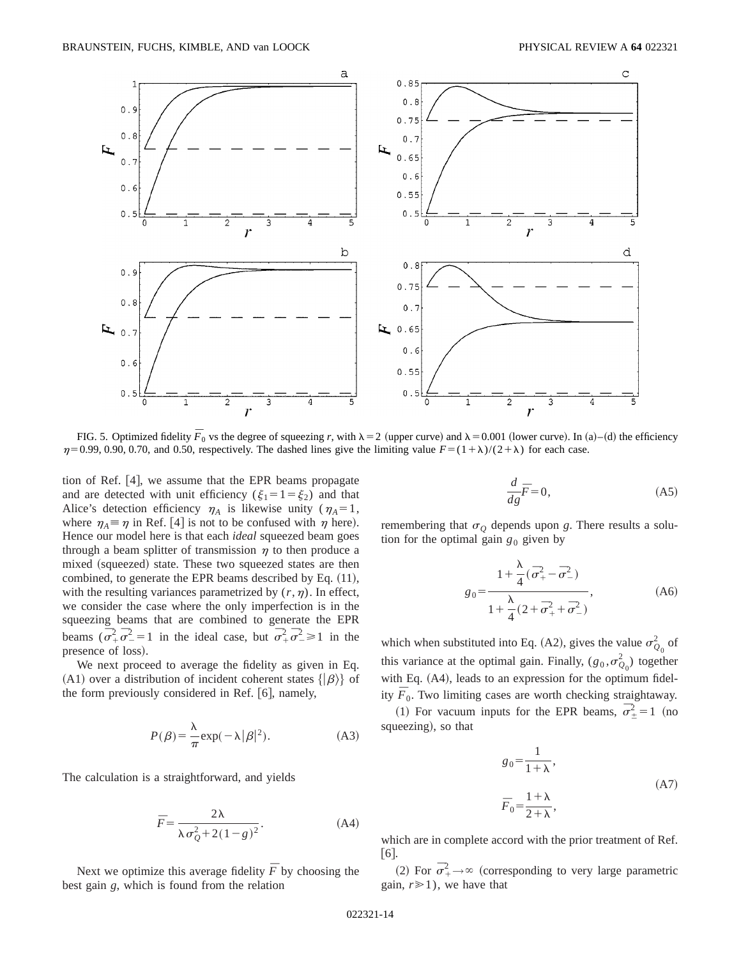

FIG. 5. Optimized fidelity  $\bar{F}_0$  vs the degree of squeezing *r*, with  $\lambda = 2$  (upper curve) and  $\lambda = 0.001$  (lower curve). In (a)–(d) the efficiency  $\eta$ =0.99, 0.90, 0.70, and 0.50, respectively. The dashed lines give the limiting value  $F=(1+\lambda)/(2+\lambda)$  for each case.

tion of Ref.  $[4]$ , we assume that the EPR beams propagate and are detected with unit efficiency ( $\xi_1 = 1 = \xi_2$ ) and that Alice's detection efficiency  $\eta_A$  is likewise unity ( $\eta_A = 1$ , where  $\eta_A \equiv \eta$  in Ref. [4] is not to be confused with  $\eta$  here). Hence our model here is that each *ideal* squeezed beam goes through a beam splitter of transmission  $\eta$  to then produce a mixed (squeezed) state. These two squeezed states are then combined, to generate the EPR beams described by Eq.  $(11)$ , with the resulting variances parametrized by  $(r, \eta)$ . In effect, we consider the case where the only imperfection is in the squeezing beams that are combined to generate the EPR beams  $(\overline{\sigma}_{+}^{2} \overline{\sigma}_{-}^{2} = 1)$  in the ideal case, but  $\overline{\sigma}_{+}^{2} \overline{\sigma}_{-}^{2} \ge 1$  in the presence of loss).

We next proceed to average the fidelity as given in Eq. (A1) over a distribution of incident coherent states  $\{|\beta\rangle\}$  of the form previously considered in Ref.  $[6]$ , namely,

$$
P(\beta) = \frac{\lambda}{\pi} \exp(-\lambda |\beta|^2). \tag{A3}
$$

The calculation is a straightforward, and yields

$$
\overline{F} = \frac{2\lambda}{\lambda \sigma_Q^2 + 2(1 - g)^2}.
$$
 (A4)

Next we optimize this average fidelity  $\bar{F}$  by choosing the best gain *g*, which is found from the relation

$$
\frac{d}{dg}\overline{F} = 0,\t(A5)
$$

remembering that  $\sigma$ <sup>0</sup> depends upon *g*. There results a solution for the optimal gain  $g_0$  given by

$$
g_0 = \frac{1 + \frac{\lambda}{4} (\bar{\sigma}_{+}^2 - \bar{\sigma}_{-}^2)}{1 + \frac{\lambda}{4} (2 + \bar{\sigma}_{+}^2 + \bar{\sigma}_{-}^2)},
$$
 (A6)

which when substituted into Eq. (A2), gives the value  $\sigma_{Q_0}^2$  of this variance at the optimal gain. Finally,  $(g_0, \sigma_{Q_0}^2)$  together with Eq. (A4), leads to an expression for the optimum fidelity  $\overline{F}_0$ . Two limiting cases are worth checking straightaway.

(1) For vacuum inputs for the EPR beams,  $\overline{\sigma}_{\pm}^2 = 1$  (no squeezing), so that

$$
g_0 = \frac{1}{1+\lambda},
$$
  
\n
$$
\overline{F}_0 = \frac{1+\lambda}{2+\lambda},
$$
\n(A7)

which are in complete accord with the prior treatment of Ref.  $[6]$ .

(2) For  $\bar{\sigma}_+^2 \rightarrow \infty$  (corresponding to very large parametric gain,  $r \geq 1$ ), we have that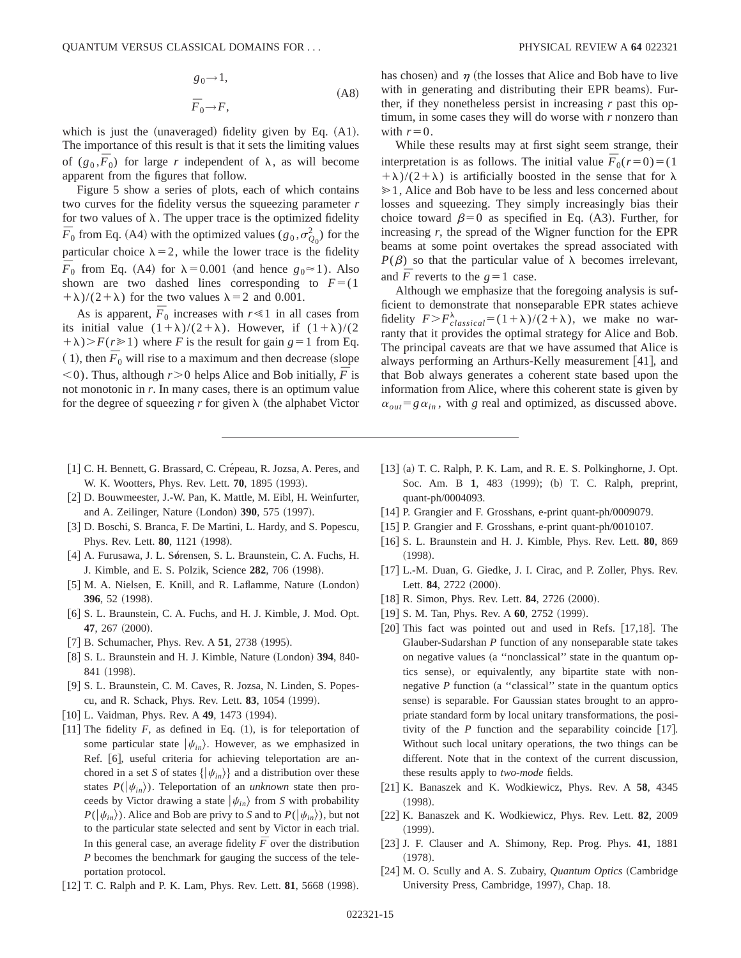$$
g_0 \rightarrow 1,
$$
  
\n
$$
\bar{F}_0 \rightarrow F,
$$
\n(A8)

which is just the (unaveraged) fidelity given by Eq.  $(A1)$ . The importance of this result is that it sets the limiting values of  $(g_0, \overline{F}_0)$  for large *r* independent of  $\lambda$ , as will become apparent from the figures that follow.

Figure 5 show a series of plots, each of which contains two curves for the fidelity versus the squeezing parameter *r* for two values of  $\lambda$ . The upper trace is the optimized fidelity  $\overline{F}_0$  from Eq. (A4) with the optimized values ( $g_0, \sigma_{Q_0}^2$ ) for the particular choice  $\lambda = 2$ , while the lower trace is the fidelity  $\overline{F}_0$  from Eq. (A4) for  $\lambda = 0.001$  (and hence  $g_0 \approx 1$ ). Also shown are two dashed lines corresponding to  $F=(1$  $(\lambda + \lambda)/(2 + \lambda)$  for the two values  $\lambda = 2$  and 0.001.

As is apparent,  $\overline{F}_0$  increases with  $r \ll 1$  in all cases from its initial value  $(1+\lambda)/(2+\lambda)$ . However, if  $(1+\lambda)/(2$  $(+\lambda)$ >*F*(*r* $\ge$ 1) where *F* is the result for gain *g* = 1 from Eq.  $(1)$ , then  $\overline{F}_0$  will rise to a maximum and then decrease (slope  $(6, 6)$ . Thus, although  $r > 0$  helps Alice and Bob initially,  $\bar{F}$  is not monotonic in *r*. In many cases, there is an optimum value for the degree of squeezing  $r$  for given  $\lambda$  (the alphabet Victor has chosen) and  $\eta$  (the losses that Alice and Bob have to live with in generating and distributing their EPR beams). Further, if they nonetheless persist in increasing *r* past this optimum, in some cases they will do worse with *r* nonzero than with  $r=0$ .

While these results may at first sight seem strange, their interpretation is as follows. The initial value  $\overline{F}_0(r=0) = (1$  $+(\lambda)/(2+\lambda)$  is artificially boosted in the sense that for  $\lambda$  $\geq 1$ , Alice and Bob have to be less and less concerned about losses and squeezing. They simply increasingly bias their choice toward  $\beta=0$  as specified in Eq. (A3). Further, for increasing *r*, the spread of the Wigner function for the EPR beams at some point overtakes the spread associated with  $P(\beta)$  so that the particular value of  $\lambda$  becomes irrelevant, and  $\overline{F}$  reverts to the  $g=1$  case.

Although we emphasize that the foregoing analysis is sufficient to demonstrate that nonseparable EPR states achieve fidelity  $F > F_{classical}^{\lambda} = (1 + \lambda)/(2 + \lambda)$ , we make no warranty that it provides the optimal strategy for Alice and Bob. The principal caveats are that we have assumed that Alice is always performing an Arthurs-Kelly measurement  $[41]$ , and that Bob always generates a coherent state based upon the information from Alice, where this coherent state is given by  $\alpha_{out} = g \alpha_{in}$ , with *g* real and optimized, as discussed above.

- [1] C. H. Bennett, G. Brassard, C. Crépeau, R. Jozsa, A. Peres, and W. K. Wootters, Phys. Rev. Lett. **70**, 1895 (1993).
- [2] D. Bouwmeester, J.-W. Pan, K. Mattle, M. Eibl, H. Weinfurter, and A. Zeilinger, Nature (London) 390, 575 (1997).
- [3] D. Boschi, S. Branca, F. De Martini, L. Hardy, and S. Popescu, Phys. Rev. Lett. **80**, 1121 (1998).
- [4] A. Furusawa, J. L. Sørensen, S. L. Braunstein, C. A. Fuchs, H. J. Kimble, and E. S. Polzik, Science 282, 706 (1998).
- [5] M. A. Nielsen, E. Knill, and R. Laflamme, Nature (London) 396, 52 (1998).
- [6] S. L. Braunstein, C. A. Fuchs, and H. J. Kimble, J. Mod. Opt. **47**, 267 (2000).
- [7] B. Schumacher, Phys. Rev. A **51**, 2738 (1995).
- [8] S. L. Braunstein and H. J. Kimble, Nature (London) 394, 840-841 (1998).
- [9] S. L. Braunstein, C. M. Caves, R. Jozsa, N. Linden, S. Popescu, and R. Schack, Phys. Rev. Lett. **83**, 1054 (1999).
- [10] L. Vaidman, Phys. Rev. A 49, 1473 (1994).
- [11] The fidelity  $F$ , as defined in Eq.  $(1)$ , is for teleportation of some particular state  $|\psi_{in}\rangle$ . However, as we emphasized in Ref. [6], useful criteria for achieving teleportation are anchored in a set *S* of states  $\{|\psi_{in}\rangle\}$  and a distribution over these states  $P(|\psi_{in}\rangle)$ . Teleportation of an *unknown* state then proceeds by Victor drawing a state  $|\psi_{in}\rangle$  from *S* with probability  $P(|\psi_{in}\rangle)$ . Alice and Bob are privy to *S* and to  $P(|\psi_{in}\rangle)$ , but not to the particular state selected and sent by Victor in each trial. In this general case, an average fidelity  $\overline{F}$  over the distribution *P* becomes the benchmark for gauging the success of the teleportation protocol.
- [12] T. C. Ralph and P. K. Lam, Phys. Rev. Lett. **81**, 5668 (1998).
- $[13]$  (a) T. C. Ralph, P. K. Lam, and R. E. S. Polkinghorne, J. Opt. Soc. Am. B 1, 483 (1999); (b) T. C. Ralph, preprint, quant-ph/0004093.
- [14] P. Grangier and F. Grosshans, e-print quant-ph/0009079.
- [15] P. Grangier and F. Grosshans, e-print quant-ph/0010107.
- @16# S. L. Braunstein and H. J. Kimble, Phys. Rev. Lett. **80**, 869  $(1998).$
- [17] L.-M. Duan, G. Giedke, J. I. Cirac, and P. Zoller, Phys. Rev. Lett. 84, 2722 (2000).
- [18] R. Simon, Phys. Rev. Lett. **84**, 2726 (2000).
- [19] S. M. Tan, Phys. Rev. A 60, 2752 (1999).
- $[20]$  This fact was pointed out and used in Refs.  $[17,18]$ . The Glauber-Sudarshan *P* function of any nonseparable state takes on negative values (a "nonclassical" state in the quantum optics sense), or equivalently, any bipartite state with nonnegative  $P$  function (a "classical" state in the quantum optics sense) is separable. For Gaussian states brought to an appropriate standard form by local unitary transformations, the positivity of the  $P$  function and the separability coincide  $[17]$ . Without such local unitary operations, the two things can be different. Note that in the context of the current discussion, these results apply to *two-mode* fields.
- [21] K. Banaszek and K. Wodkiewicz, Phys. Rev. A 58, 4345  $(1998).$
- [22] K. Banaszek and K. Wodkiewicz, Phys. Rev. Lett. 82, 2009  $(1999).$
- [23] J. F. Clauser and A. Shimony, Rep. Prog. Phys. 41, 1881  $(1978).$
- [24] M. O. Scully and A. S. Zubairy, *Quantum Optics* (Cambridge University Press, Cambridge, 1997), Chap. 18.